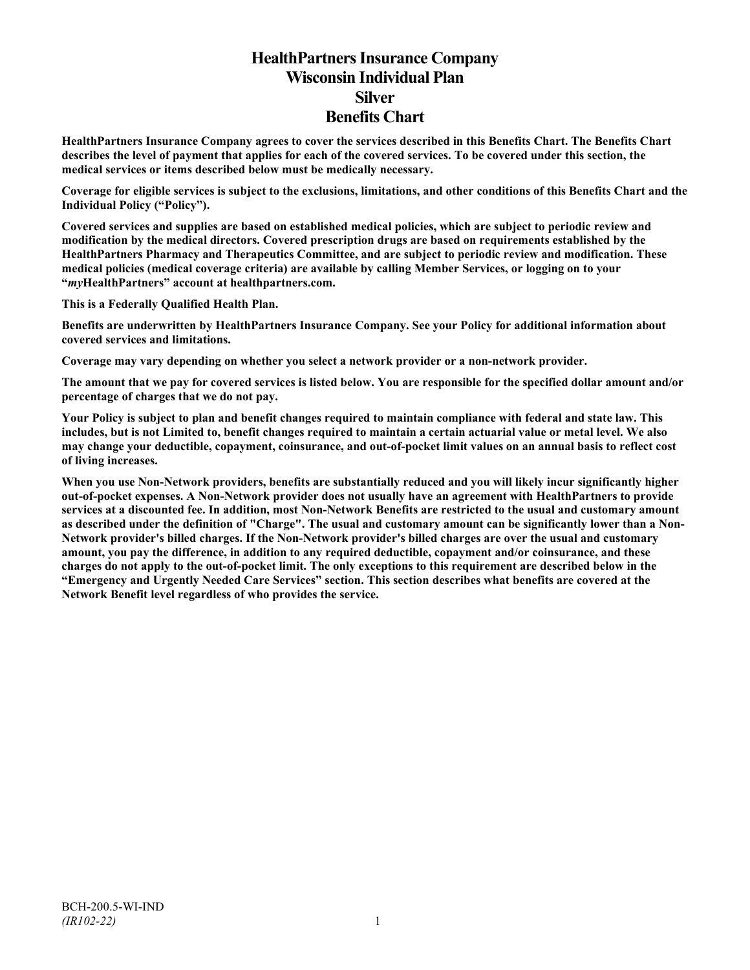# **HealthPartners Insurance Company Wisconsin Individual Plan Silver Benefits Chart**

**HealthPartners Insurance Company agrees to cover the services described in this Benefits Chart. The Benefits Chart describes the level of payment that applies for each of the covered services. To be covered under this section, the medical services or items described below must be medically necessary.**

**Coverage for eligible services is subject to the exclusions, limitations, and other conditions of this Benefits Chart and the Individual Policy ("Policy").**

**Covered services and supplies are based on established medical policies, which are subject to periodic review and modification by the medical directors. Covered prescription drugs are based on requirements established by the HealthPartners Pharmacy and Therapeutics Committee, and are subject to periodic review and modification. These medical policies (medical coverage criteria) are available by calling Member Services, or logging on to your "***my***HealthPartners" account at [healthpartners.com.](http://www.healthpartners.com/)**

**This is a Federally Qualified Health Plan.**

**Benefits are underwritten by HealthPartners Insurance Company. See your Policy for additional information about covered services and limitations.**

**Coverage may vary depending on whether you select a network provider or a non-network provider.**

**The amount that we pay for covered services is listed below. You are responsible for the specified dollar amount and/or percentage of charges that we do not pay.**

**Your Policy is subject to plan and benefit changes required to maintain compliance with federal and state law. This includes, but is not Limited to, benefit changes required to maintain a certain actuarial value or metal level. We also may change your deductible, copayment, coinsurance, and out-of-pocket limit values on an annual basis to reflect cost of living increases.**

**When you use Non-Network providers, benefits are substantially reduced and you will likely incur significantly higher out-of-pocket expenses. A Non-Network provider does not usually have an agreement with HealthPartners to provide services at a discounted fee. In addition, most Non-Network Benefits are restricted to the usual and customary amount as described under the definition of "Charge". The usual and customary amount can be significantly lower than a Non-Network provider's billed charges. If the Non-Network provider's billed charges are over the usual and customary amount, you pay the difference, in addition to any required deductible, copayment and/or coinsurance, and these charges do not apply to the out-of-pocket limit. The only exceptions to this requirement are described below in the "Emergency and Urgently Needed Care Services" section. This section describes what benefits are covered at the Network Benefit level regardless of who provides the service.**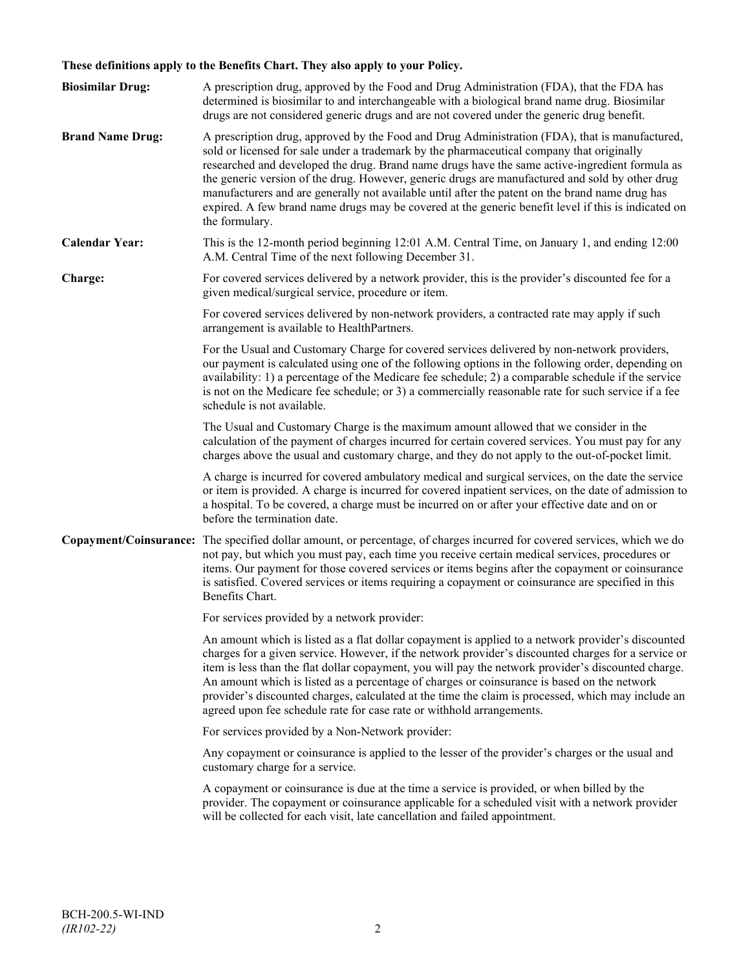## **These definitions apply to the Benefits Chart. They also apply to your Policy.**

| <b>Biosimilar Drug:</b> | A prescription drug, approved by the Food and Drug Administration (FDA), that the FDA has<br>determined is biosimilar to and interchangeable with a biological brand name drug. Biosimilar<br>drugs are not considered generic drugs and are not covered under the generic drug benefit.                                                                                                                                                                                                                                                                                                                                     |
|-------------------------|------------------------------------------------------------------------------------------------------------------------------------------------------------------------------------------------------------------------------------------------------------------------------------------------------------------------------------------------------------------------------------------------------------------------------------------------------------------------------------------------------------------------------------------------------------------------------------------------------------------------------|
| <b>Brand Name Drug:</b> | A prescription drug, approved by the Food and Drug Administration (FDA), that is manufactured,<br>sold or licensed for sale under a trademark by the pharmaceutical company that originally<br>researched and developed the drug. Brand name drugs have the same active-ingredient formula as<br>the generic version of the drug. However, generic drugs are manufactured and sold by other drug<br>manufacturers and are generally not available until after the patent on the brand name drug has<br>expired. A few brand name drugs may be covered at the generic benefit level if this is indicated on<br>the formulary. |
| <b>Calendar Year:</b>   | This is the 12-month period beginning 12:01 A.M. Central Time, on January 1, and ending 12:00<br>A.M. Central Time of the next following December 31.                                                                                                                                                                                                                                                                                                                                                                                                                                                                        |
| Charge:                 | For covered services delivered by a network provider, this is the provider's discounted fee for a<br>given medical/surgical service, procedure or item.                                                                                                                                                                                                                                                                                                                                                                                                                                                                      |
|                         | For covered services delivered by non-network providers, a contracted rate may apply if such<br>arrangement is available to HealthPartners.                                                                                                                                                                                                                                                                                                                                                                                                                                                                                  |
|                         | For the Usual and Customary Charge for covered services delivered by non-network providers,<br>our payment is calculated using one of the following options in the following order, depending on<br>availability: 1) a percentage of the Medicare fee schedule; 2) a comparable schedule if the service<br>is not on the Medicare fee schedule; or 3) a commercially reasonable rate for such service if a fee<br>schedule is not available.                                                                                                                                                                                 |
|                         | The Usual and Customary Charge is the maximum amount allowed that we consider in the<br>calculation of the payment of charges incurred for certain covered services. You must pay for any<br>charges above the usual and customary charge, and they do not apply to the out-of-pocket limit.                                                                                                                                                                                                                                                                                                                                 |
|                         | A charge is incurred for covered ambulatory medical and surgical services, on the date the service<br>or item is provided. A charge is incurred for covered inpatient services, on the date of admission to<br>a hospital. To be covered, a charge must be incurred on or after your effective date and on or<br>before the termination date.                                                                                                                                                                                                                                                                                |
|                         | Copayment/Coinsurance: The specified dollar amount, or percentage, of charges incurred for covered services, which we do<br>not pay, but which you must pay, each time you receive certain medical services, procedures or<br>items. Our payment for those covered services or items begins after the copayment or coinsurance<br>is satisfied. Covered services or items requiring a copayment or coinsurance are specified in this<br>Benefits Chart.                                                                                                                                                                      |
|                         | For services provided by a network provider:                                                                                                                                                                                                                                                                                                                                                                                                                                                                                                                                                                                 |
|                         | An amount which is listed as a flat dollar copayment is applied to a network provider's discounted<br>charges for a given service. However, if the network provider's discounted charges for a service or<br>item is less than the flat dollar copayment, you will pay the network provider's discounted charge.<br>An amount which is listed as a percentage of charges or coinsurance is based on the network<br>provider's discounted charges, calculated at the time the claim is processed, which may include an<br>agreed upon fee schedule rate for case rate or withhold arrangements.                               |
|                         | For services provided by a Non-Network provider:                                                                                                                                                                                                                                                                                                                                                                                                                                                                                                                                                                             |
|                         | Any copayment or coinsurance is applied to the lesser of the provider's charges or the usual and<br>customary charge for a service.                                                                                                                                                                                                                                                                                                                                                                                                                                                                                          |
|                         | A copayment or coinsurance is due at the time a service is provided, or when billed by the<br>provider. The copayment or coinsurance applicable for a scheduled visit with a network provider<br>will be collected for each visit, late cancellation and failed appointment.                                                                                                                                                                                                                                                                                                                                                 |
|                         |                                                                                                                                                                                                                                                                                                                                                                                                                                                                                                                                                                                                                              |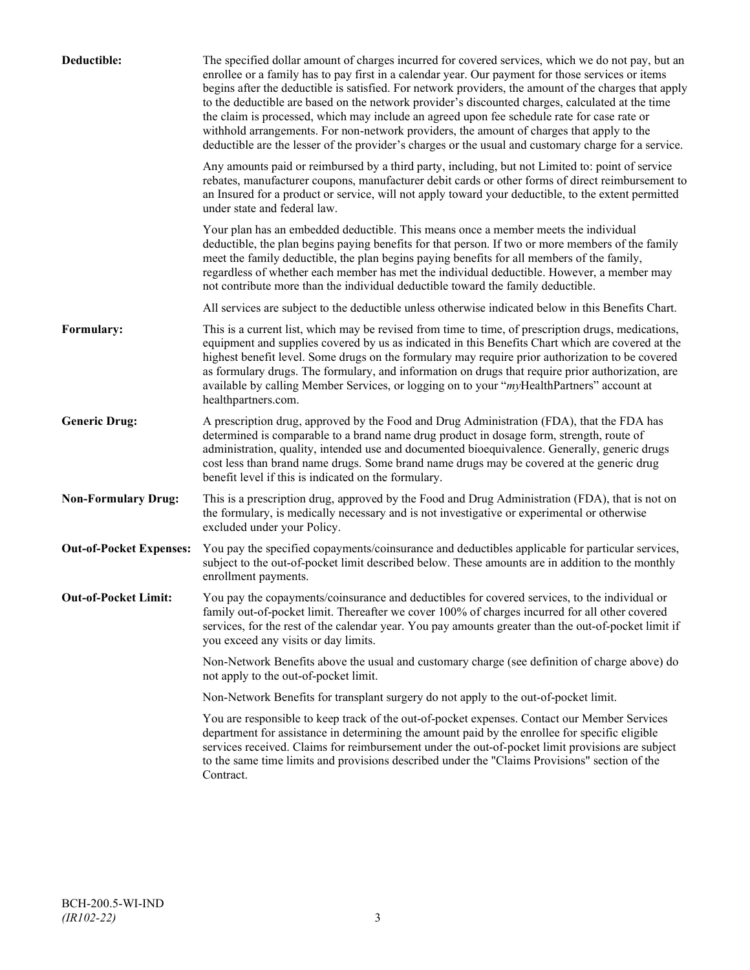| Deductible:                    | The specified dollar amount of charges incurred for covered services, which we do not pay, but an<br>enrollee or a family has to pay first in a calendar year. Our payment for those services or items<br>begins after the deductible is satisfied. For network providers, the amount of the charges that apply<br>to the deductible are based on the network provider's discounted charges, calculated at the time<br>the claim is processed, which may include an agreed upon fee schedule rate for case rate or<br>withhold arrangements. For non-network providers, the amount of charges that apply to the<br>deductible are the lesser of the provider's charges or the usual and customary charge for a service. |
|--------------------------------|-------------------------------------------------------------------------------------------------------------------------------------------------------------------------------------------------------------------------------------------------------------------------------------------------------------------------------------------------------------------------------------------------------------------------------------------------------------------------------------------------------------------------------------------------------------------------------------------------------------------------------------------------------------------------------------------------------------------------|
|                                | Any amounts paid or reimbursed by a third party, including, but not Limited to: point of service<br>rebates, manufacturer coupons, manufacturer debit cards or other forms of direct reimbursement to<br>an Insured for a product or service, will not apply toward your deductible, to the extent permitted<br>under state and federal law.                                                                                                                                                                                                                                                                                                                                                                            |
|                                | Your plan has an embedded deductible. This means once a member meets the individual<br>deductible, the plan begins paying benefits for that person. If two or more members of the family<br>meet the family deductible, the plan begins paying benefits for all members of the family,<br>regardless of whether each member has met the individual deductible. However, a member may<br>not contribute more than the individual deductible toward the family deductible.                                                                                                                                                                                                                                                |
|                                | All services are subject to the deductible unless otherwise indicated below in this Benefits Chart.                                                                                                                                                                                                                                                                                                                                                                                                                                                                                                                                                                                                                     |
| Formulary:                     | This is a current list, which may be revised from time to time, of prescription drugs, medications,<br>equipment and supplies covered by us as indicated in this Benefits Chart which are covered at the<br>highest benefit level. Some drugs on the formulary may require prior authorization to be covered<br>as formulary drugs. The formulary, and information on drugs that require prior authorization, are<br>available by calling Member Services, or logging on to your "myHealthPartners" account at<br>healthpartners.com.                                                                                                                                                                                   |
| <b>Generic Drug:</b>           | A prescription drug, approved by the Food and Drug Administration (FDA), that the FDA has<br>determined is comparable to a brand name drug product in dosage form, strength, route of<br>administration, quality, intended use and documented bioequivalence. Generally, generic drugs<br>cost less than brand name drugs. Some brand name drugs may be covered at the generic drug<br>benefit level if this is indicated on the formulary.                                                                                                                                                                                                                                                                             |
| <b>Non-Formulary Drug:</b>     | This is a prescription drug, approved by the Food and Drug Administration (FDA), that is not on<br>the formulary, is medically necessary and is not investigative or experimental or otherwise<br>excluded under your Policy.                                                                                                                                                                                                                                                                                                                                                                                                                                                                                           |
| <b>Out-of-Pocket Expenses:</b> | You pay the specified copayments/coinsurance and deductibles applicable for particular services,<br>subject to the out-of-pocket limit described below. These amounts are in addition to the monthly<br>enrollment payments.                                                                                                                                                                                                                                                                                                                                                                                                                                                                                            |
| <b>Out-of-Pocket Limit:</b>    | You pay the copayments/coinsurance and deductibles for covered services, to the individual or<br>family out-of-pocket limit. Thereafter we cover 100% of charges incurred for all other covered<br>services, for the rest of the calendar year. You pay amounts greater than the out-of-pocket limit if<br>you exceed any visits or day limits.                                                                                                                                                                                                                                                                                                                                                                         |
|                                | Non-Network Benefits above the usual and customary charge (see definition of charge above) do<br>not apply to the out-of-pocket limit.                                                                                                                                                                                                                                                                                                                                                                                                                                                                                                                                                                                  |
|                                | Non-Network Benefits for transplant surgery do not apply to the out-of-pocket limit.                                                                                                                                                                                                                                                                                                                                                                                                                                                                                                                                                                                                                                    |
|                                | You are responsible to keep track of the out-of-pocket expenses. Contact our Member Services<br>department for assistance in determining the amount paid by the enrollee for specific eligible<br>services received. Claims for reimbursement under the out-of-pocket limit provisions are subject<br>to the same time limits and provisions described under the "Claims Provisions" section of the<br>Contract.                                                                                                                                                                                                                                                                                                        |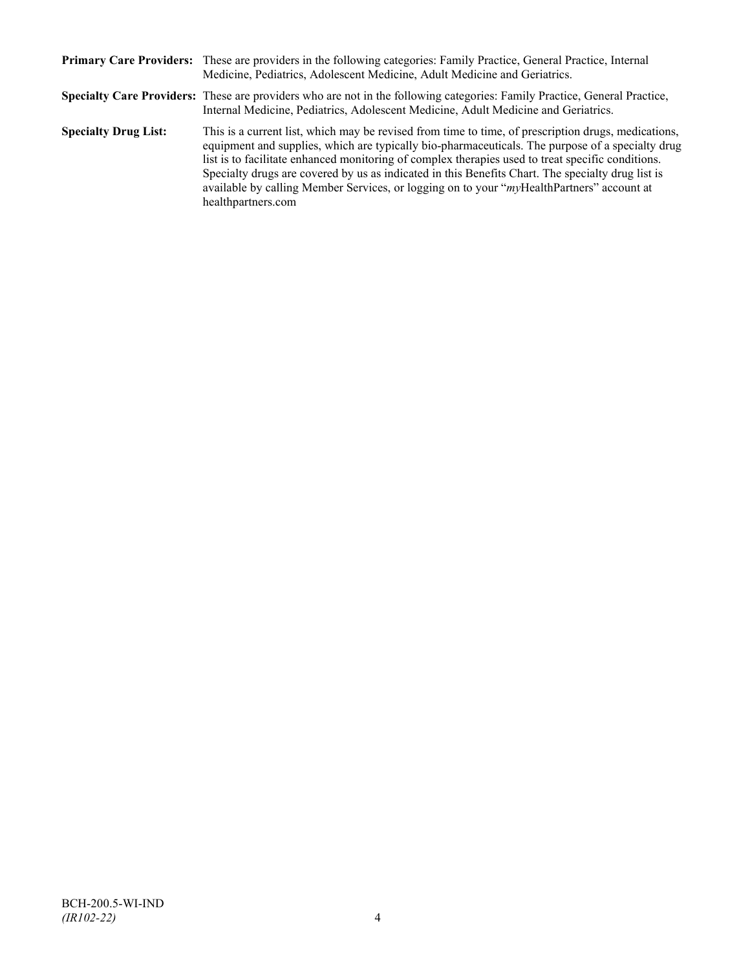|                             | Primary Care Providers: These are providers in the following categories: Family Practice, General Practice, Internal<br>Medicine, Pediatrics, Adolescent Medicine, Adult Medicine and Geriatrics.                                                                                                                                                                                                                                                                                                                                    |
|-----------------------------|--------------------------------------------------------------------------------------------------------------------------------------------------------------------------------------------------------------------------------------------------------------------------------------------------------------------------------------------------------------------------------------------------------------------------------------------------------------------------------------------------------------------------------------|
|                             | Specialty Care Providers: These are providers who are not in the following categories: Family Practice, General Practice,<br>Internal Medicine, Pediatrics, Adolescent Medicine, Adult Medicine and Geriatrics.                                                                                                                                                                                                                                                                                                                      |
| <b>Specialty Drug List:</b> | This is a current list, which may be revised from time to time, of prescription drugs, medications,<br>equipment and supplies, which are typically bio-pharmaceuticals. The purpose of a specialty drug<br>list is to facilitate enhanced monitoring of complex therapies used to treat specific conditions.<br>Specialty drugs are covered by us as indicated in this Benefits Chart. The specialty drug list is<br>available by calling Member Services, or logging on to your "myHealthPartners" account at<br>healthpartners.com |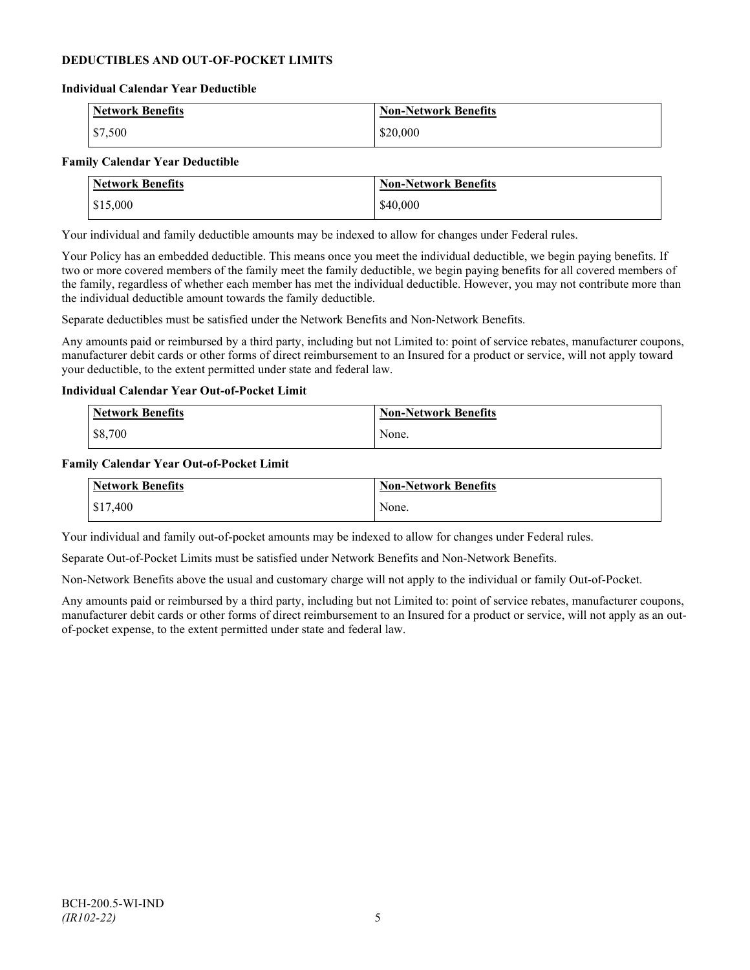### **DEDUCTIBLES AND OUT-OF-POCKET LIMITS**

#### **Individual Calendar Year Deductible**

| <b>Network Benefits</b> | <b>Non-Network Benefits</b> |
|-------------------------|-----------------------------|
| $\frac{1}{2}$ \$7,500   | \$20,000                    |

#### **Family Calendar Year Deductible**

| <b>Network Benefits</b> | <b>Non-Network Benefits</b> |
|-------------------------|-----------------------------|
| \$15,000                | \$40,000                    |

Your individual and family deductible amounts may be indexed to allow for changes under Federal rules.

Your Policy has an embedded deductible. This means once you meet the individual deductible, we begin paying benefits. If two or more covered members of the family meet the family deductible, we begin paying benefits for all covered members of the family, regardless of whether each member has met the individual deductible. However, you may not contribute more than the individual deductible amount towards the family deductible.

Separate deductibles must be satisfied under the Network Benefits and Non-Network Benefits.

Any amounts paid or reimbursed by a third party, including but not Limited to: point of service rebates, manufacturer coupons, manufacturer debit cards or other forms of direct reimbursement to an Insured for a product or service, will not apply toward your deductible, to the extent permitted under state and federal law.

#### **Individual Calendar Year Out-of-Pocket Limit**

| <b>Network Benefits</b> | <b>Non-Network Benefits</b> |
|-------------------------|-----------------------------|
| \$8,700                 | None.                       |

#### **Family Calendar Year Out-of-Pocket Limit**

| Network Benefits | Non-Network Benefits |
|------------------|----------------------|
| \$17,400         | None.                |

Your individual and family out-of-pocket amounts may be indexed to allow for changes under Federal rules.

Separate Out-of-Pocket Limits must be satisfied under Network Benefits and Non-Network Benefits.

Non-Network Benefits above the usual and customary charge will not apply to the individual or family Out-of-Pocket.

Any amounts paid or reimbursed by a third party, including but not Limited to: point of service rebates, manufacturer coupons, manufacturer debit cards or other forms of direct reimbursement to an Insured for a product or service, will not apply as an outof-pocket expense, to the extent permitted under state and federal law.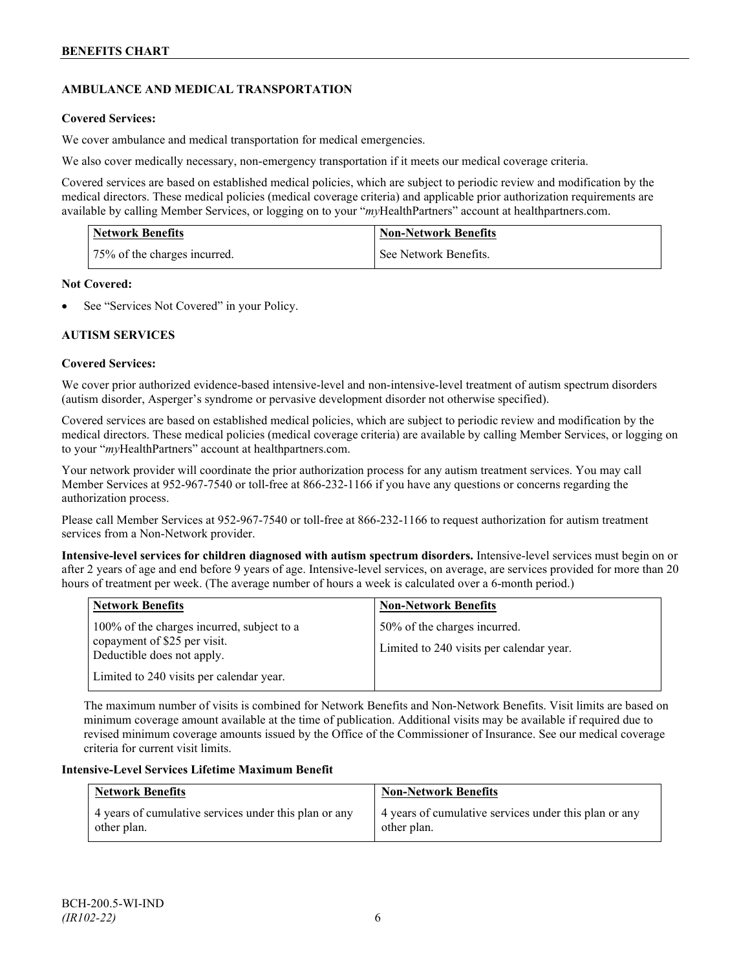## **AMBULANCE AND MEDICAL TRANSPORTATION**

### **Covered Services:**

We cover ambulance and medical transportation for medical emergencies.

We also cover medically necessary, non-emergency transportation if it meets our medical coverage criteria.

Covered services are based on established medical policies, which are subject to periodic review and modification by the medical directors. These medical policies (medical coverage criteria) and applicable prior authorization requirements are available by calling Member Services, or logging on to your "*my*HealthPartners" account a[t healthpartners.com.](http://www.healthpartners.com/)

| <b>Network Benefits</b>      | <b>Non-Network Benefits</b> |
|------------------------------|-----------------------------|
| 75% of the charges incurred. | See Network Benefits.       |

### **Not Covered:**

See "Services Not Covered" in your Policy.

## **AUTISM SERVICES**

### **Covered Services:**

We cover prior authorized evidence-based intensive-level and non-intensive-level treatment of autism spectrum disorders (autism disorder, Asperger's syndrome or pervasive development disorder not otherwise specified).

Covered services are based on established medical policies, which are subject to periodic review and modification by the medical directors. These medical policies (medical coverage criteria) are available by calling Member Services, or logging on to your "*my*HealthPartners" account at [healthpartners.com.](http://www.healthpartners.com/)

Your network provider will coordinate the prior authorization process for any autism treatment services. You may call Member Services at 952-967-7540 or toll-free at 866-232-1166 if you have any questions or concerns regarding the authorization process.

Please call Member Services at 952-967-7540 or toll-free at 866-232-1166 to request authorization for autism treatment services from a Non-Network provider.

**Intensive-level services for children diagnosed with autism spectrum disorders.** Intensive-level services must begin on or after 2 years of age and end before 9 years of age. Intensive-level services, on average, are services provided for more than 20 hours of treatment per week. (The average number of hours a week is calculated over a 6-month period.)

| <b>Network Benefits</b>                                                                                  | <b>Non-Network Benefits</b>                                              |
|----------------------------------------------------------------------------------------------------------|--------------------------------------------------------------------------|
| 100% of the charges incurred, subject to a<br>copayment of \$25 per visit.<br>Deductible does not apply. | 50% of the charges incurred.<br>Limited to 240 visits per calendar year. |
| Limited to 240 visits per calendar year.                                                                 |                                                                          |

The maximum number of visits is combined for Network Benefits and Non-Network Benefits. Visit limits are based on minimum coverage amount available at the time of publication. Additional visits may be available if required due to revised minimum coverage amounts issued by the Office of the Commissioner of Insurance. See our medical coverage criteria for current visit limits.

### **Intensive-Level Services Lifetime Maximum Benefit**

| <b>Network Benefits</b>                               | <b>Non-Network Benefits</b>                           |
|-------------------------------------------------------|-------------------------------------------------------|
| 4 years of cumulative services under this plan or any | 4 years of cumulative services under this plan or any |
| other plan.                                           | other plan.                                           |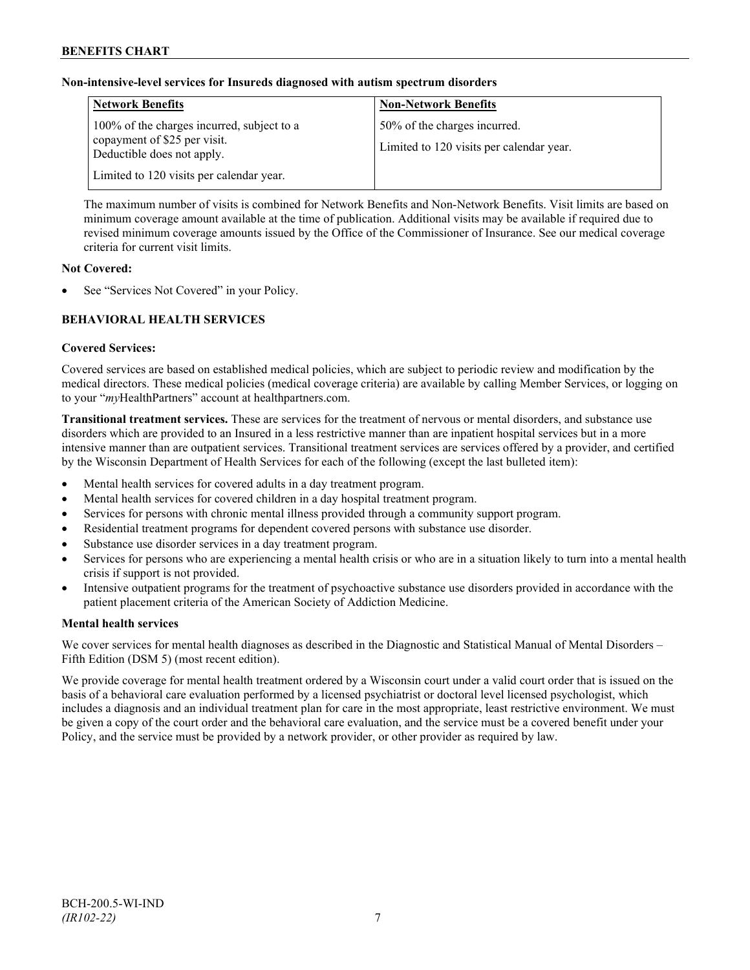### **Non-intensive-level services for Insureds diagnosed with autism spectrum disorders**

| <b>Network Benefits</b>                                                                                  | <b>Non-Network Benefits</b>                                              |
|----------------------------------------------------------------------------------------------------------|--------------------------------------------------------------------------|
| 100% of the charges incurred, subject to a<br>copayment of \$25 per visit.<br>Deductible does not apply. | 50% of the charges incurred.<br>Limited to 120 visits per calendar year. |
| Limited to 120 visits per calendar year.                                                                 |                                                                          |

The maximum number of visits is combined for Network Benefits and Non-Network Benefits. Visit limits are based on minimum coverage amount available at the time of publication. Additional visits may be available if required due to revised minimum coverage amounts issued by the Office of the Commissioner of Insurance. See our medical coverage criteria for current visit limits.

### **Not Covered:**

See "Services Not Covered" in your Policy.

## **BEHAVIORAL HEALTH SERVICES**

#### **Covered Services:**

Covered services are based on established medical policies, which are subject to periodic review and modification by the medical directors. These medical policies (medical coverage criteria) are available by calling Member Services, or logging on to your "*my*HealthPartners" account at [healthpartners.com.](http://www.healthpartners.com/)

**Transitional treatment services.** These are services for the treatment of nervous or mental disorders, and substance use disorders which are provided to an Insured in a less restrictive manner than are inpatient hospital services but in a more intensive manner than are outpatient services. Transitional treatment services are services offered by a provider, and certified by the Wisconsin Department of Health Services for each of the following (except the last bulleted item):

- Mental health services for covered adults in a day treatment program.
- Mental health services for covered children in a day hospital treatment program.
- Services for persons with chronic mental illness provided through a community support program.
- Residential treatment programs for dependent covered persons with substance use disorder.
- Substance use disorder services in a day treatment program.
- Services for persons who are experiencing a mental health crisis or who are in a situation likely to turn into a mental health crisis if support is not provided.
- Intensive outpatient programs for the treatment of psychoactive substance use disorders provided in accordance with the patient placement criteria of the American Society of Addiction Medicine.

### **Mental health services**

We cover services for mental health diagnoses as described in the Diagnostic and Statistical Manual of Mental Disorders – Fifth Edition (DSM 5) (most recent edition).

We provide coverage for mental health treatment ordered by a Wisconsin court under a valid court order that is issued on the basis of a behavioral care evaluation performed by a licensed psychiatrist or doctoral level licensed psychologist, which includes a diagnosis and an individual treatment plan for care in the most appropriate, least restrictive environment. We must be given a copy of the court order and the behavioral care evaluation, and the service must be a covered benefit under your Policy, and the service must be provided by a network provider, or other provider as required by law.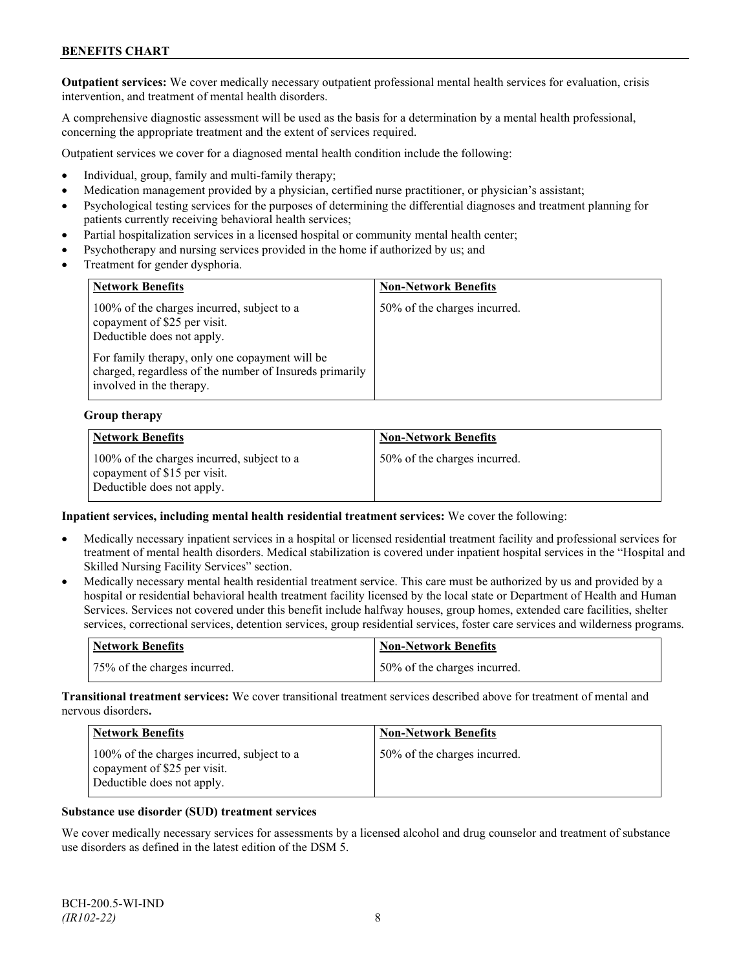**Outpatient services:** We cover medically necessary outpatient professional mental health services for evaluation, crisis intervention, and treatment of mental health disorders.

A comprehensive diagnostic assessment will be used as the basis for a determination by a mental health professional, concerning the appropriate treatment and the extent of services required.

Outpatient services we cover for a diagnosed mental health condition include the following:

- Individual, group, family and multi-family therapy;
- Medication management provided by a physician, certified nurse practitioner, or physician's assistant;
- Psychological testing services for the purposes of determining the differential diagnoses and treatment planning for patients currently receiving behavioral health services;
- Partial hospitalization services in a licensed hospital or community mental health center;
- Psychotherapy and nursing services provided in the home if authorized by us; and
- Treatment for gender dysphoria.

| <b>Network Benefits</b>                                                                                                               | <b>Non-Network Benefits</b>  |
|---------------------------------------------------------------------------------------------------------------------------------------|------------------------------|
| 100% of the charges incurred, subject to a<br>copayment of \$25 per visit.<br>Deductible does not apply.                              | 50% of the charges incurred. |
| For family therapy, only one copayment will be<br>charged, regardless of the number of Insureds primarily<br>involved in the therapy. |                              |

#### **Group therapy**

| <b>Network Benefits</b>                                                                                  | <b>Non-Network Benefits</b>  |
|----------------------------------------------------------------------------------------------------------|------------------------------|
| 100% of the charges incurred, subject to a<br>copayment of \$15 per visit.<br>Deductible does not apply. | 50% of the charges incurred. |

#### **Inpatient services, including mental health residential treatment services:** We cover the following:

- Medically necessary inpatient services in a hospital or licensed residential treatment facility and professional services for treatment of mental health disorders. Medical stabilization is covered under inpatient hospital services in the "Hospital and Skilled Nursing Facility Services" section.
- Medically necessary mental health residential treatment service. This care must be authorized by us and provided by a hospital or residential behavioral health treatment facility licensed by the local state or Department of Health and Human Services. Services not covered under this benefit include halfway houses, group homes, extended care facilities, shelter services, correctional services, detention services, group residential services, foster care services and wilderness programs.

| Network Benefits             | <b>Non-Network Benefits</b>  |
|------------------------------|------------------------------|
| 75% of the charges incurred. | 50% of the charges incurred. |

**Transitional treatment services:** We cover transitional treatment services described above for treatment of mental and nervous disorders**.**

| <b>Network Benefits</b>                                                                                  | <b>Non-Network Benefits</b>  |
|----------------------------------------------------------------------------------------------------------|------------------------------|
| 100% of the charges incurred, subject to a<br>copayment of \$25 per visit.<br>Deductible does not apply. | 50% of the charges incurred. |

#### **Substance use disorder (SUD) treatment services**

We cover medically necessary services for assessments by a licensed alcohol and drug counselor and treatment of substance use disorders as defined in the latest edition of the DSM 5.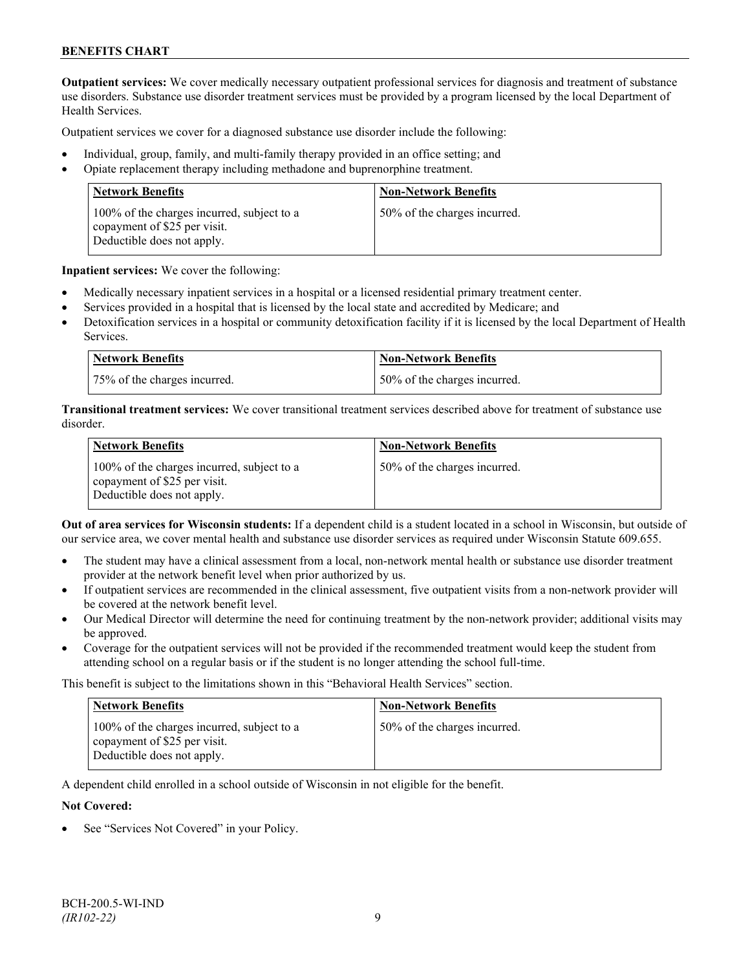**Outpatient services:** We cover medically necessary outpatient professional services for diagnosis and treatment of substance use disorders. Substance use disorder treatment services must be provided by a program licensed by the local Department of Health Services.

Outpatient services we cover for a diagnosed substance use disorder include the following:

- Individual, group, family, and multi-family therapy provided in an office setting; and
- Opiate replacement therapy including methadone and buprenorphine treatment.

| <b>Network Benefits</b>                                                                                  | <b>Non-Network Benefits</b>  |
|----------------------------------------------------------------------------------------------------------|------------------------------|
| 100% of the charges incurred, subject to a<br>copayment of \$25 per visit.<br>Deductible does not apply. | 50% of the charges incurred. |

**Inpatient services:** We cover the following:

- Medically necessary inpatient services in a hospital or a licensed residential primary treatment center.
- Services provided in a hospital that is licensed by the local state and accredited by Medicare; and
- Detoxification services in a hospital or community detoxification facility if it is licensed by the local Department of Health Services.

| Network Benefits             | <b>Non-Network Benefits</b>  |
|------------------------------|------------------------------|
| 75% of the charges incurred. | 50% of the charges incurred. |

**Transitional treatment services:** We cover transitional treatment services described above for treatment of substance use disorder.

| <b>Network Benefits</b>                                                                                  | <b>Non-Network Benefits</b>  |
|----------------------------------------------------------------------------------------------------------|------------------------------|
| 100% of the charges incurred, subject to a<br>copayment of \$25 per visit.<br>Deductible does not apply. | 50% of the charges incurred. |

**Out of area services for Wisconsin students:** If a dependent child is a student located in a school in Wisconsin, but outside of our service area, we cover mental health and substance use disorder services as required under Wisconsin Statute 609.655.

- The student may have a clinical assessment from a local, non-network mental health or substance use disorder treatment provider at the network benefit level when prior authorized by us.
- If outpatient services are recommended in the clinical assessment, five outpatient visits from a non-network provider will be covered at the network benefit level.
- Our Medical Director will determine the need for continuing treatment by the non-network provider; additional visits may be approved.
- Coverage for the outpatient services will not be provided if the recommended treatment would keep the student from attending school on a regular basis or if the student is no longer attending the school full-time.

This benefit is subject to the limitations shown in this "Behavioral Health Services" section.

| <b>Network Benefits</b>                                                                                  | <b>Non-Network Benefits</b>  |
|----------------------------------------------------------------------------------------------------------|------------------------------|
| 100% of the charges incurred, subject to a<br>copayment of \$25 per visit.<br>Deductible does not apply. | 50% of the charges incurred. |

A dependent child enrolled in a school outside of Wisconsin in not eligible for the benefit.

#### **Not Covered:**

See "Services Not Covered" in your Policy.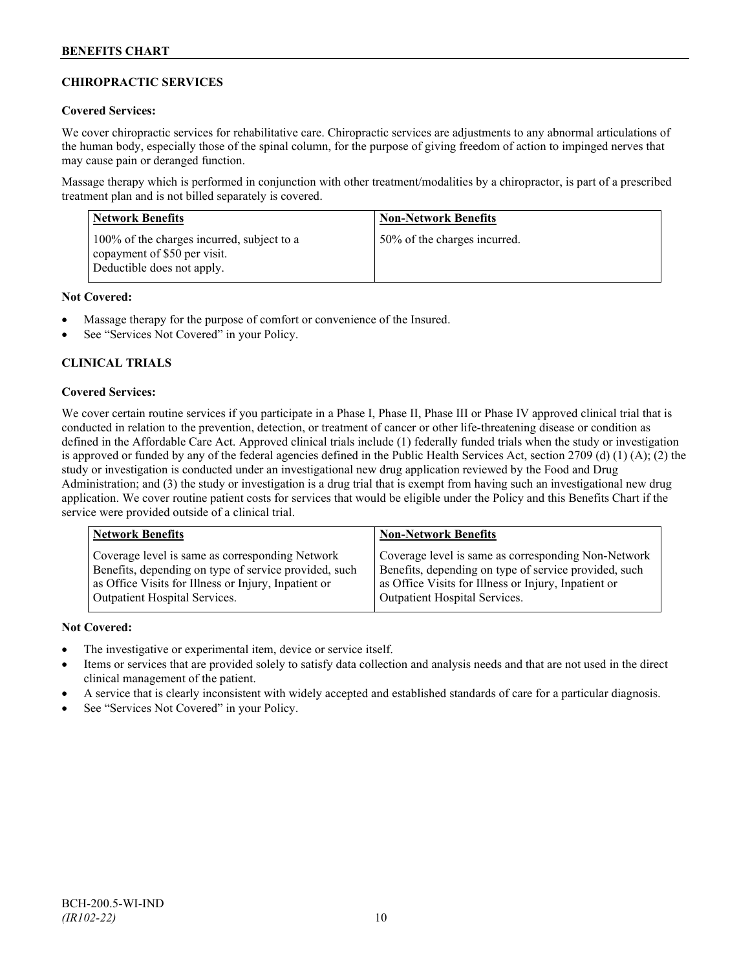## **CHIROPRACTIC SERVICES**

### **Covered Services:**

We cover chiropractic services for rehabilitative care. Chiropractic services are adjustments to any abnormal articulations of the human body, especially those of the spinal column, for the purpose of giving freedom of action to impinged nerves that may cause pain or deranged function.

Massage therapy which is performed in conjunction with other treatment/modalities by a chiropractor, is part of a prescribed treatment plan and is not billed separately is covered.

| <b>Network Benefits</b>                                                                                  | <b>Non-Network Benefits</b>  |
|----------------------------------------------------------------------------------------------------------|------------------------------|
| 100% of the charges incurred, subject to a<br>copayment of \$50 per visit.<br>Deductible does not apply. | 50% of the charges incurred. |

## **Not Covered:**

- Massage therapy for the purpose of comfort or convenience of the Insured.
- See "Services Not Covered" in your Policy.

## **CLINICAL TRIALS**

### **Covered Services:**

We cover certain routine services if you participate in a Phase I, Phase II, Phase III or Phase IV approved clinical trial that is conducted in relation to the prevention, detection, or treatment of cancer or other life-threatening disease or condition as defined in the Affordable Care Act. Approved clinical trials include (1) federally funded trials when the study or investigation is approved or funded by any of the federal agencies defined in the Public Health Services Act, section 2709 (d) (1) (A); (2) the study or investigation is conducted under an investigational new drug application reviewed by the Food and Drug Administration; and (3) the study or investigation is a drug trial that is exempt from having such an investigational new drug application. We cover routine patient costs for services that would be eligible under the Policy and this Benefits Chart if the service were provided outside of a clinical trial.

| <b>Network Benefits</b>                               | <b>Non-Network Benefits</b>                           |
|-------------------------------------------------------|-------------------------------------------------------|
| Coverage level is same as corresponding Network       | Coverage level is same as corresponding Non-Network   |
| Benefits, depending on type of service provided, such | Benefits, depending on type of service provided, such |
| as Office Visits for Illness or Injury, Inpatient or  | as Office Visits for Illness or Injury, Inpatient or  |
| Outpatient Hospital Services.                         | Outpatient Hospital Services.                         |

### **Not Covered:**

- The investigative or experimental item, device or service itself.
- Items or services that are provided solely to satisfy data collection and analysis needs and that are not used in the direct clinical management of the patient.
- A service that is clearly inconsistent with widely accepted and established standards of care for a particular diagnosis.
- See "Services Not Covered" in your Policy.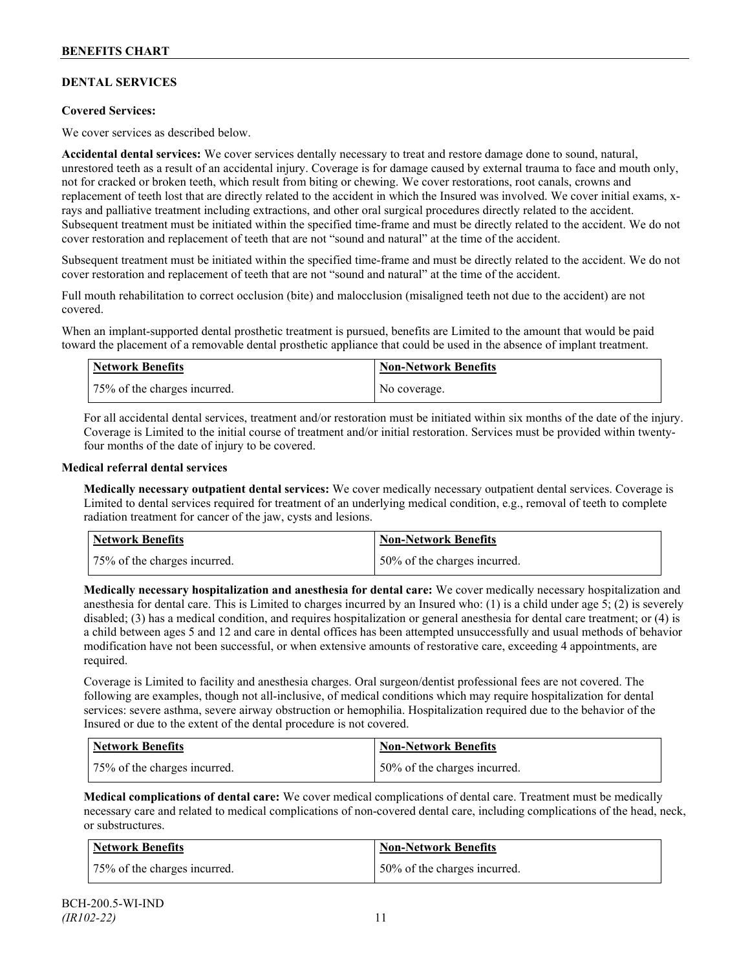## **DENTAL SERVICES**

### **Covered Services:**

We cover services as described below.

**Accidental dental services:** We cover services dentally necessary to treat and restore damage done to sound, natural, unrestored teeth as a result of an accidental injury. Coverage is for damage caused by external trauma to face and mouth only, not for cracked or broken teeth, which result from biting or chewing. We cover restorations, root canals, crowns and replacement of teeth lost that are directly related to the accident in which the Insured was involved. We cover initial exams, xrays and palliative treatment including extractions, and other oral surgical procedures directly related to the accident. Subsequent treatment must be initiated within the specified time-frame and must be directly related to the accident. We do not cover restoration and replacement of teeth that are not "sound and natural" at the time of the accident.

Subsequent treatment must be initiated within the specified time-frame and must be directly related to the accident. We do not cover restoration and replacement of teeth that are not "sound and natural" at the time of the accident.

Full mouth rehabilitation to correct occlusion (bite) and malocclusion (misaligned teeth not due to the accident) are not covered.

When an implant-supported dental prosthetic treatment is pursued, benefits are Limited to the amount that would be paid toward the placement of a removable dental prosthetic appliance that could be used in the absence of implant treatment.

| Network Benefits             | <b>Non-Network Benefits</b> |
|------------------------------|-----------------------------|
| 75% of the charges incurred. | No coverage.                |

For all accidental dental services, treatment and/or restoration must be initiated within six months of the date of the injury. Coverage is Limited to the initial course of treatment and/or initial restoration. Services must be provided within twentyfour months of the date of injury to be covered.

#### **Medical referral dental services**

**Medically necessary outpatient dental services:** We cover medically necessary outpatient dental services. Coverage is Limited to dental services required for treatment of an underlying medical condition, e.g., removal of teeth to complete radiation treatment for cancer of the jaw, cysts and lesions.

| Network Benefits             | <b>Non-Network Benefits</b>  |
|------------------------------|------------------------------|
| 75% of the charges incurred. | 50% of the charges incurred. |

**Medically necessary hospitalization and anesthesia for dental care:** We cover medically necessary hospitalization and anesthesia for dental care. This is Limited to charges incurred by an Insured who: (1) is a child under age 5; (2) is severely disabled; (3) has a medical condition, and requires hospitalization or general anesthesia for dental care treatment; or (4) is a child between ages 5 and 12 and care in dental offices has been attempted unsuccessfully and usual methods of behavior modification have not been successful, or when extensive amounts of restorative care, exceeding 4 appointments, are required.

Coverage is Limited to facility and anesthesia charges. Oral surgeon/dentist professional fees are not covered. The following are examples, though not all-inclusive, of medical conditions which may require hospitalization for dental services: severe asthma, severe airway obstruction or hemophilia. Hospitalization required due to the behavior of the Insured or due to the extent of the dental procedure is not covered.

| Network Benefits             | Non-Network Benefits         |
|------------------------------|------------------------------|
| 75% of the charges incurred. | 50% of the charges incurred. |

**Medical complications of dental care:** We cover medical complications of dental care. Treatment must be medically necessary care and related to medical complications of non-covered dental care, including complications of the head, neck, or substructures.

| Network Benefits             | Non-Network Benefits         |
|------------------------------|------------------------------|
| 75% of the charges incurred. | 50% of the charges incurred. |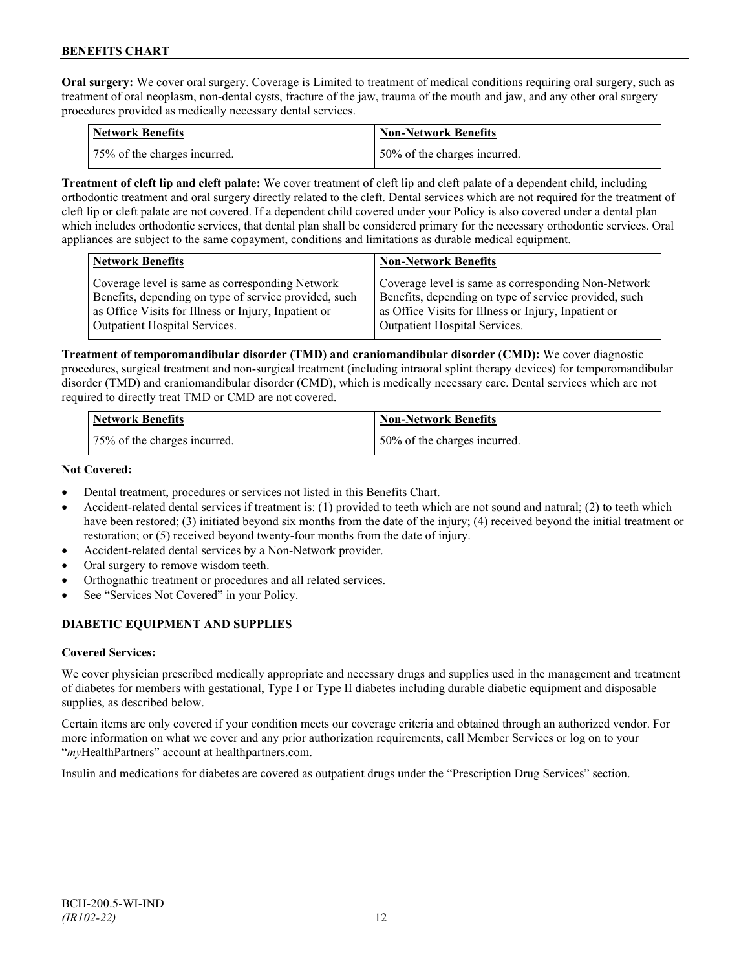**Oral surgery:** We cover oral surgery. Coverage is Limited to treatment of medical conditions requiring oral surgery, such as treatment of oral neoplasm, non-dental cysts, fracture of the jaw, trauma of the mouth and jaw, and any other oral surgery procedures provided as medically necessary dental services.

| Network Benefits             | <b>Non-Network Benefits</b>  |
|------------------------------|------------------------------|
| 75% of the charges incurred. | 50% of the charges incurred. |

**Treatment of cleft lip and cleft palate:** We cover treatment of cleft lip and cleft palate of a dependent child, including orthodontic treatment and oral surgery directly related to the cleft. Dental services which are not required for the treatment of cleft lip or cleft palate are not covered. If a dependent child covered under your Policy is also covered under a dental plan which includes orthodontic services, that dental plan shall be considered primary for the necessary orthodontic services. Oral appliances are subject to the same copayment, conditions and limitations as durable medical equipment.

| <b>Network Benefits</b>                               | <b>Non-Network Benefits</b>                           |
|-------------------------------------------------------|-------------------------------------------------------|
| Coverage level is same as corresponding Network       | Coverage level is same as corresponding Non-Network   |
| Benefits, depending on type of service provided, such | Benefits, depending on type of service provided, such |
| as Office Visits for Illness or Injury, Inpatient or  | as Office Visits for Illness or Injury, Inpatient or  |
| Outpatient Hospital Services.                         | Outpatient Hospital Services.                         |

**Treatment of temporomandibular disorder (TMD) and craniomandibular disorder (CMD):** We cover diagnostic procedures, surgical treatment and non-surgical treatment (including intraoral splint therapy devices) for temporomandibular disorder (TMD) and craniomandibular disorder (CMD), which is medically necessary care. Dental services which are not required to directly treat TMD or CMD are not covered.

| <b>Network Benefits</b>      | Non-Network Benefits         |
|------------------------------|------------------------------|
| 75% of the charges incurred. | 50% of the charges incurred. |

### **Not Covered:**

- Dental treatment, procedures or services not listed in this Benefits Chart.
- Accident-related dental services if treatment is: (1) provided to teeth which are not sound and natural; (2) to teeth which have been restored; (3) initiated beyond six months from the date of the injury; (4) received beyond the initial treatment or restoration; or (5) received beyond twenty-four months from the date of injury.
- Accident-related dental services by a Non-Network provider.
- Oral surgery to remove wisdom teeth.
- Orthognathic treatment or procedures and all related services.
- See "Services Not Covered" in your Policy.

## **DIABETIC EQUIPMENT AND SUPPLIES**

### **Covered Services:**

We cover physician prescribed medically appropriate and necessary drugs and supplies used in the management and treatment of diabetes for members with gestational, Type I or Type II diabetes including durable diabetic equipment and disposable supplies, as described below.

Certain items are only covered if your condition meets our coverage criteria and obtained through an authorized vendor. For more information on what we cover and any prior authorization requirements, call Member Services or log on to your "*my*HealthPartners" account at [healthpartners.com.](http://www.healthpartners.com/)

Insulin and medications for diabetes are covered as outpatient drugs under the "Prescription Drug Services" section.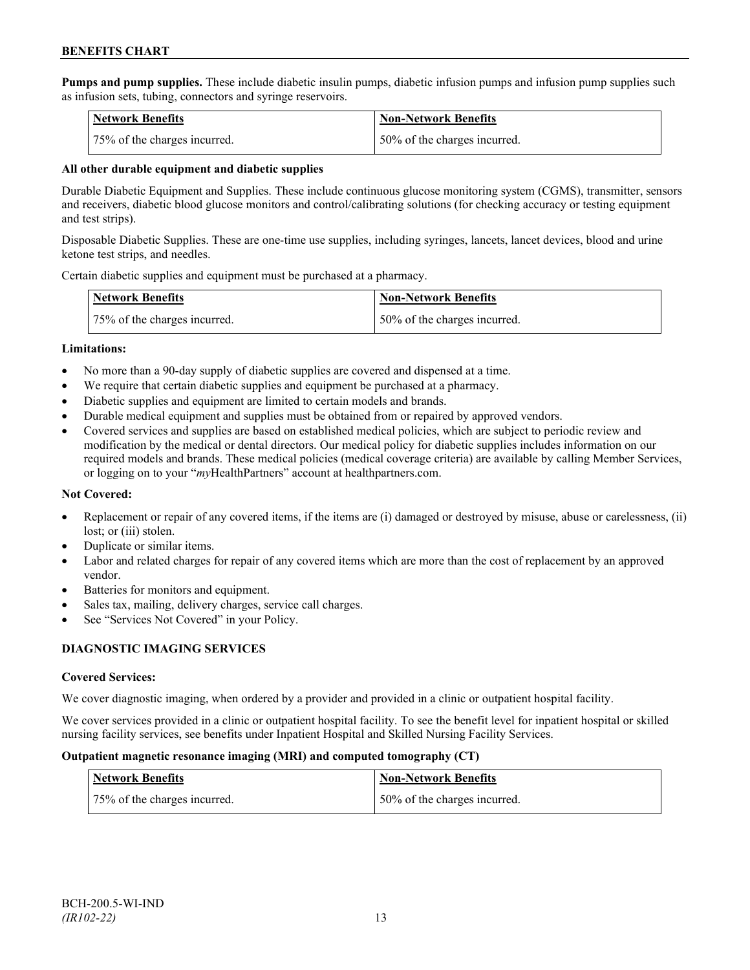**Pumps and pump supplies.** These include diabetic insulin pumps, diabetic infusion pumps and infusion pump supplies such as infusion sets, tubing, connectors and syringe reservoirs.

| <b>Network Benefits</b>      | <b>Non-Network Benefits</b>  |
|------------------------------|------------------------------|
| 75% of the charges incurred. | 50% of the charges incurred. |

### **All other durable equipment and diabetic supplies**

Durable Diabetic Equipment and Supplies. These include continuous glucose monitoring system (CGMS), transmitter, sensors and receivers, diabetic blood glucose monitors and control/calibrating solutions (for checking accuracy or testing equipment and test strips).

Disposable Diabetic Supplies. These are one-time use supplies, including syringes, lancets, lancet devices, blood and urine ketone test strips, and needles.

Certain diabetic supplies and equipment must be purchased at a pharmacy.

| <b>Network Benefits</b>      | <b>Non-Network Benefits</b>      |
|------------------------------|----------------------------------|
| 75% of the charges incurred. | $150\%$ of the charges incurred. |

#### **Limitations:**

- No more than a 90-day supply of diabetic supplies are covered and dispensed at a time.
- We require that certain diabetic supplies and equipment be purchased at a pharmacy.
- Diabetic supplies and equipment are limited to certain models and brands.
- Durable medical equipment and supplies must be obtained from or repaired by approved vendors.
- Covered services and supplies are based on established medical policies, which are subject to periodic review and modification by the medical or dental directors. Our medical policy for diabetic supplies includes information on our required models and brands. These medical policies (medical coverage criteria) are available by calling Member Services, or logging on to your "*my*HealthPartners" account at healthpartners.com.

### **Not Covered:**

- Replacement or repair of any covered items, if the items are (i) damaged or destroyed by misuse, abuse or carelessness, (ii) lost; or (iii) stolen.
- Duplicate or similar items.
- Labor and related charges for repair of any covered items which are more than the cost of replacement by an approved vendor.
- Batteries for monitors and equipment.
- Sales tax, mailing, delivery charges, service call charges.
- See "Services Not Covered" in your Policy.

### **DIAGNOSTIC IMAGING SERVICES**

### **Covered Services:**

We cover diagnostic imaging, when ordered by a provider and provided in a clinic or outpatient hospital facility.

We cover services provided in a clinic or outpatient hospital facility. To see the benefit level for inpatient hospital or skilled nursing facility services, see benefits under Inpatient Hospital and Skilled Nursing Facility Services.

#### **Outpatient magnetic resonance imaging (MRI) and computed tomography (CT)**

| Network Benefits             | <b>Non-Network Benefits</b>  |
|------------------------------|------------------------------|
| 75% of the charges incurred. | 50% of the charges incurred. |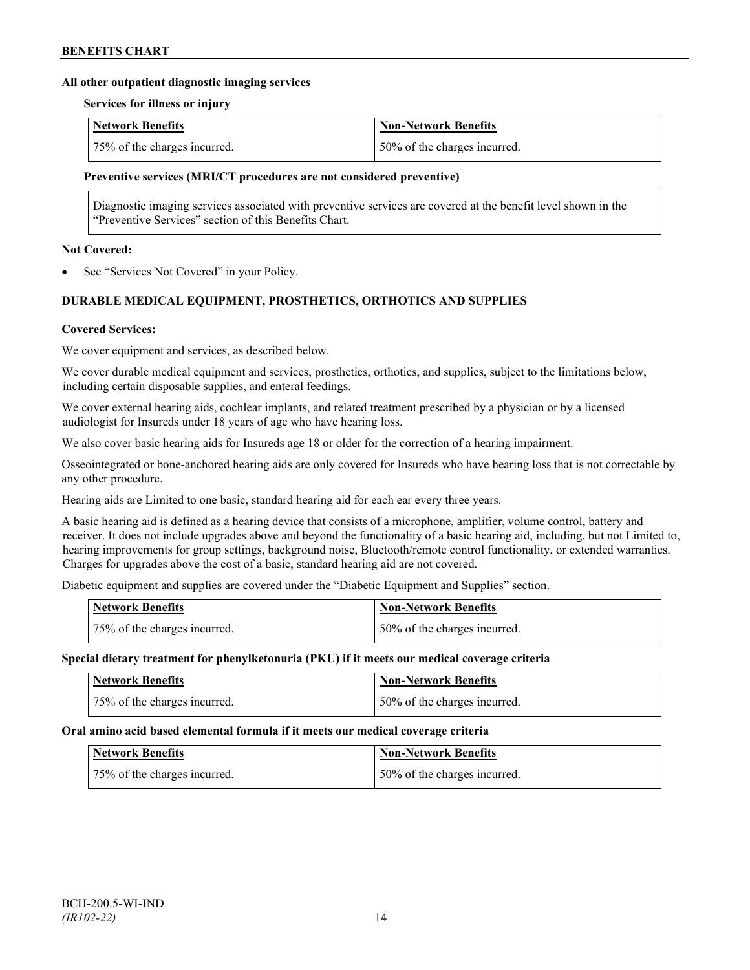#### **All other outpatient diagnostic imaging services**

#### **Services for illness or injury**

| <b>Network Benefits</b>      | Non-Network Benefits          |
|------------------------------|-------------------------------|
| 75% of the charges incurred. | 150% of the charges incurred. |

#### **Preventive services (MRI/CT procedures are not considered preventive)**

Diagnostic imaging services associated with preventive services are covered at the benefit level shown in the "Preventive Services" section of this Benefits Chart.

#### **Not Covered:**

See "Services Not Covered" in your Policy.

## **DURABLE MEDICAL EQUIPMENT, PROSTHETICS, ORTHOTICS AND SUPPLIES**

#### **Covered Services:**

We cover equipment and services, as described below.

We cover durable medical equipment and services, prosthetics, orthotics, and supplies, subject to the limitations below, including certain disposable supplies, and enteral feedings.

We cover external hearing aids, cochlear implants, and related treatment prescribed by a physician or by a licensed audiologist for Insureds under 18 years of age who have hearing loss.

We also cover basic hearing aids for Insureds age 18 or older for the correction of a hearing impairment.

Osseointegrated or bone-anchored hearing aids are only covered for Insureds who have hearing loss that is not correctable by any other procedure.

Hearing aids are Limited to one basic, standard hearing aid for each ear every three years.

A basic hearing aid is defined as a hearing device that consists of a microphone, amplifier, volume control, battery and receiver. It does not include upgrades above and beyond the functionality of a basic hearing aid, including, but not Limited to, hearing improvements for group settings, background noise, Bluetooth/remote control functionality, or extended warranties. Charges for upgrades above the cost of a basic, standard hearing aid are not covered.

Diabetic equipment and supplies are covered under the "Diabetic Equipment and Supplies" section.

| Network Benefits             | <b>Non-Network Benefits</b>  |
|------------------------------|------------------------------|
| 75% of the charges incurred. | 50% of the charges incurred. |

#### **Special dietary treatment for phenylketonuria (PKU) if it meets our medical coverage criteria**

| <b>Network Benefits</b>      | <b>Non-Network Benefits</b>  |
|------------------------------|------------------------------|
| 75% of the charges incurred. | 50% of the charges incurred. |

#### **Oral amino acid based elemental formula if it meets our medical coverage criteria**

| <b>Network Benefits</b>      | <b>Non-Network Benefits</b>  |
|------------------------------|------------------------------|
| 75% of the charges incurred. | 50% of the charges incurred. |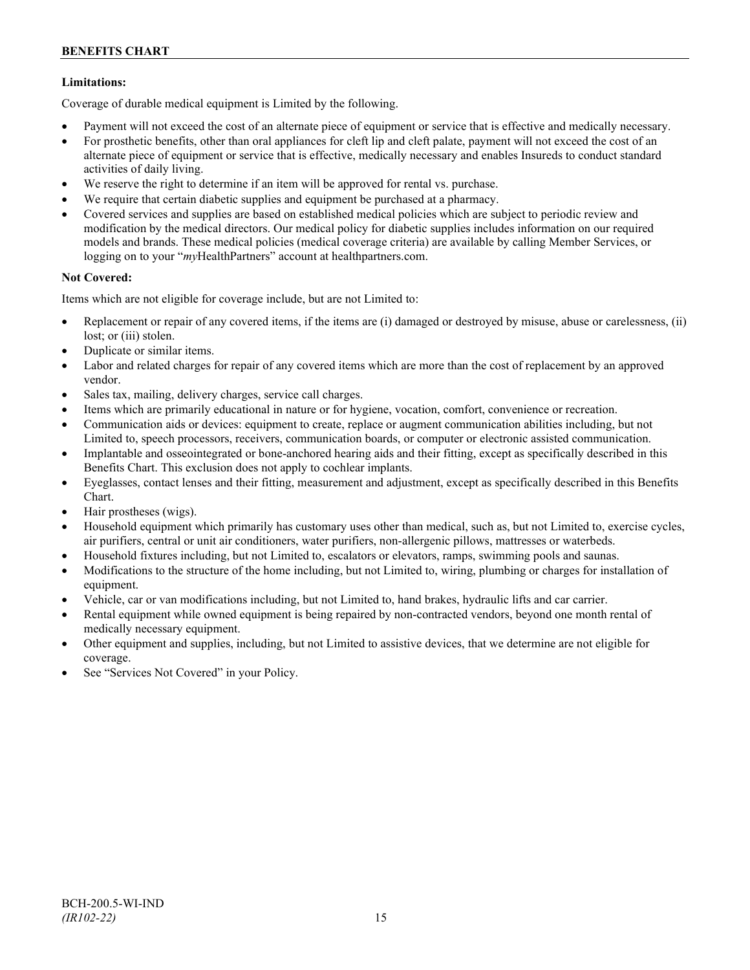### **Limitations:**

Coverage of durable medical equipment is Limited by the following.

- Payment will not exceed the cost of an alternate piece of equipment or service that is effective and medically necessary.
- For prosthetic benefits, other than oral appliances for cleft lip and cleft palate, payment will not exceed the cost of an alternate piece of equipment or service that is effective, medically necessary and enables Insureds to conduct standard activities of daily living.
- We reserve the right to determine if an item will be approved for rental vs. purchase.
- We require that certain diabetic supplies and equipment be purchased at a pharmacy.
- Covered services and supplies are based on established medical policies which are subject to periodic review and modification by the medical directors. Our medical policy for diabetic supplies includes information on our required models and brands. These medical policies (medical coverage criteria) are available by calling Member Services, or logging on to your "*my*HealthPartners" account at [healthpartners.com.](http://www.healthpartners.com/)

### **Not Covered:**

Items which are not eligible for coverage include, but are not Limited to:

- Replacement or repair of any covered items, if the items are (i) damaged or destroyed by misuse, abuse or carelessness, (ii) lost; or (iii) stolen.
- Duplicate or similar items.
- Labor and related charges for repair of any covered items which are more than the cost of replacement by an approved vendor.
- Sales tax, mailing, delivery charges, service call charges.
- Items which are primarily educational in nature or for hygiene, vocation, comfort, convenience or recreation.
- Communication aids or devices: equipment to create, replace or augment communication abilities including, but not Limited to, speech processors, receivers, communication boards, or computer or electronic assisted communication.
- Implantable and osseointegrated or bone-anchored hearing aids and their fitting, except as specifically described in this Benefits Chart. This exclusion does not apply to cochlear implants.
- Eyeglasses, contact lenses and their fitting, measurement and adjustment, except as specifically described in this Benefits Chart.
- Hair prostheses (wigs).
- Household equipment which primarily has customary uses other than medical, such as, but not Limited to, exercise cycles, air purifiers, central or unit air conditioners, water purifiers, non-allergenic pillows, mattresses or waterbeds.
- Household fixtures including, but not Limited to, escalators or elevators, ramps, swimming pools and saunas.
- Modifications to the structure of the home including, but not Limited to, wiring, plumbing or charges for installation of equipment.
- Vehicle, car or van modifications including, but not Limited to, hand brakes, hydraulic lifts and car carrier.
- Rental equipment while owned equipment is being repaired by non-contracted vendors, beyond one month rental of medically necessary equipment.
- Other equipment and supplies, including, but not Limited to assistive devices, that we determine are not eligible for coverage.
- See "Services Not Covered" in your Policy.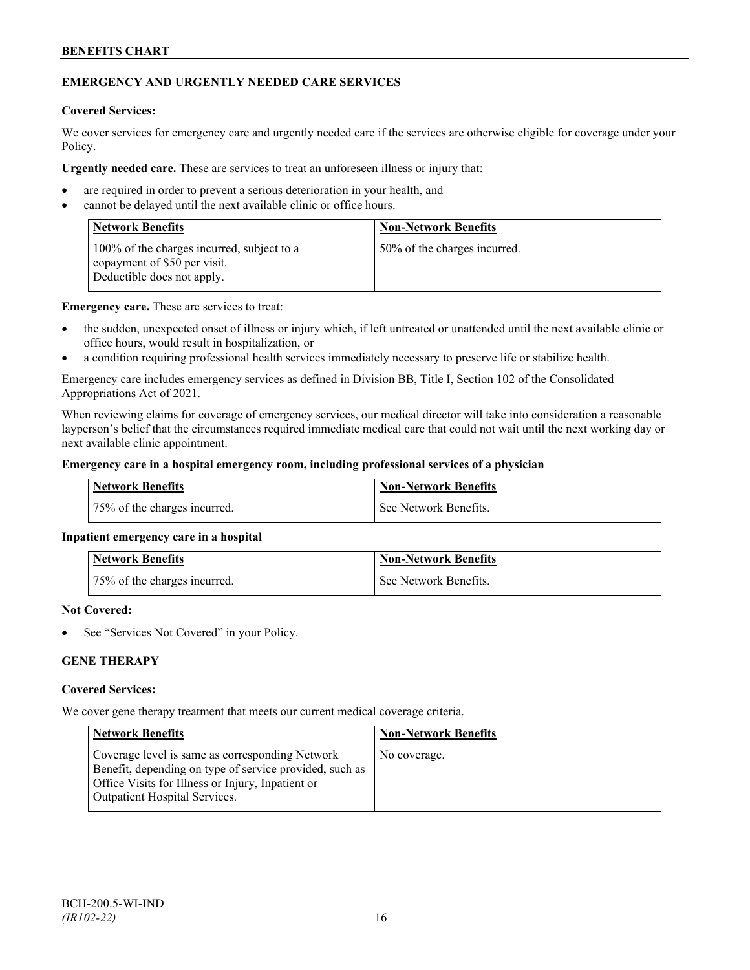## **EMERGENCY AND URGENTLY NEEDED CARE SERVICES**

### **Covered Services:**

We cover services for emergency care and urgently needed care if the services are otherwise eligible for coverage under your Policy.

**Urgently needed care.** These are services to treat an unforeseen illness or injury that:

- are required in order to prevent a serious deterioration in your health, and
- cannot be delayed until the next available clinic or office hours.

| <b>Network Benefits</b>                                                                                  | <b>Non-Network Benefits</b>  |
|----------------------------------------------------------------------------------------------------------|------------------------------|
| 100% of the charges incurred, subject to a<br>copayment of \$50 per visit.<br>Deductible does not apply. | 50% of the charges incurred. |

**Emergency care.** These are services to treat:

- the sudden, unexpected onset of illness or injury which, if left untreated or unattended until the next available clinic or office hours, would result in hospitalization, or
- a condition requiring professional health services immediately necessary to preserve life or stabilize health.

Emergency care includes emergency services as defined in Division BB, Title I, Section 102 of the Consolidated Appropriations Act of 2021.

When reviewing claims for coverage of emergency services, our medical director will take into consideration a reasonable layperson's belief that the circumstances required immediate medical care that could not wait until the next working day or next available clinic appointment.

### **Emergency care in a hospital emergency room, including professional services of a physician**

| Network Benefits             | <b>Non-Network Benefits</b> |
|------------------------------|-----------------------------|
| 75% of the charges incurred. | See Network Benefits.       |

### **Inpatient emergency care in a hospital**

| <b>Network Benefits</b>      | <b>Non-Network Benefits</b> |
|------------------------------|-----------------------------|
| 75% of the charges incurred. | l See Network Benefits.     |

#### **Not Covered:**

See "Services Not Covered" in your Policy.

## **GENE THERAPY**

#### **Covered Services:**

We cover gene therapy treatment that meets our current medical coverage criteria.

| <b>Network Benefits</b>                                                                                                                                                                                 | <b>Non-Network Benefits</b> |
|---------------------------------------------------------------------------------------------------------------------------------------------------------------------------------------------------------|-----------------------------|
| Coverage level is same as corresponding Network<br>Benefit, depending on type of service provided, such as<br>Office Visits for Illness or Injury, Inpatient or<br><b>Outpatient Hospital Services.</b> | No coverage.                |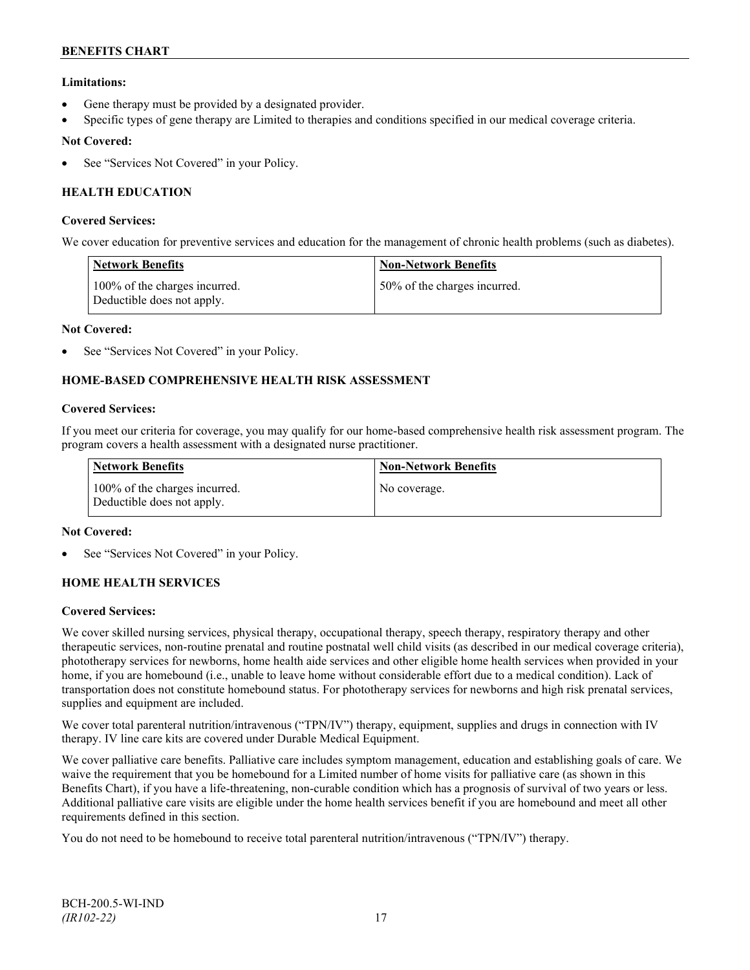## **Limitations:**

- Gene therapy must be provided by a designated provider.
- Specific types of gene therapy are Limited to therapies and conditions specified in our medical coverage criteria.

### **Not Covered:**

See "Services Not Covered" in your Policy.

## **HEALTH EDUCATION**

### **Covered Services:**

We cover education for preventive services and education for the management of chronic health problems (such as diabetes).

| <b>Network Benefits</b>                                     | <b>Non-Network Benefits</b>  |
|-------------------------------------------------------------|------------------------------|
| 100% of the charges incurred.<br>Deductible does not apply. | 50% of the charges incurred. |

#### **Not Covered:**

See "Services Not Covered" in your Policy.

## **HOME-BASED COMPREHENSIVE HEALTH RISK ASSESSMENT**

#### **Covered Services:**

If you meet our criteria for coverage, you may qualify for our home-based comprehensive health risk assessment program. The program covers a health assessment with a designated nurse practitioner.

| <b>Network Benefits</b>                                     | <b>Non-Network Benefits</b> |
|-------------------------------------------------------------|-----------------------------|
| 100% of the charges incurred.<br>Deductible does not apply. | No coverage.                |

### **Not Covered:**

See "Services Not Covered" in your Policy.

### **HOME HEALTH SERVICES**

#### **Covered Services:**

We cover skilled nursing services, physical therapy, occupational therapy, speech therapy, respiratory therapy and other therapeutic services, non-routine prenatal and routine postnatal well child visits (as described in our medical coverage criteria), phototherapy services for newborns, home health aide services and other eligible home health services when provided in your home, if you are homebound (i.e., unable to leave home without considerable effort due to a medical condition). Lack of transportation does not constitute homebound status. For phototherapy services for newborns and high risk prenatal services, supplies and equipment are included.

We cover total parenteral nutrition/intravenous ("TPN/IV") therapy, equipment, supplies and drugs in connection with IV therapy. IV line care kits are covered under Durable Medical Equipment.

We cover palliative care benefits. Palliative care includes symptom management, education and establishing goals of care. We waive the requirement that you be homebound for a Limited number of home visits for palliative care (as shown in this Benefits Chart), if you have a life-threatening, non-curable condition which has a prognosis of survival of two years or less. Additional palliative care visits are eligible under the home health services benefit if you are homebound and meet all other requirements defined in this section.

You do not need to be homebound to receive total parenteral nutrition/intravenous ("TPN/IV") therapy.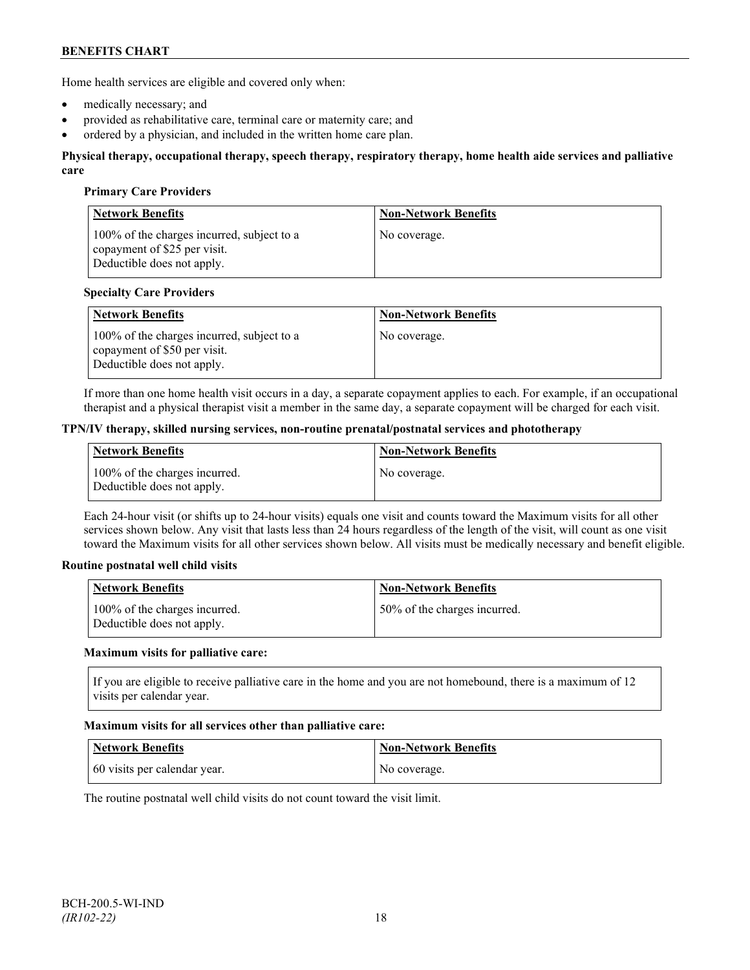Home health services are eligible and covered only when:

- medically necessary; and
- provided as rehabilitative care, terminal care or maternity care; and
- ordered by a physician, and included in the written home care plan.

#### **Physical therapy, occupational therapy, speech therapy, respiratory therapy, home health aide services and palliative care**

### **Primary Care Providers**

| <b>Network Benefits</b>                                                                                  | <b>Non-Network Benefits</b> |
|----------------------------------------------------------------------------------------------------------|-----------------------------|
| 100% of the charges incurred, subject to a<br>copayment of \$25 per visit.<br>Deductible does not apply. | No coverage.                |

#### **Specialty Care Providers**

| <b>Network Benefits</b>                                                                                  | <b>Non-Network Benefits</b> |
|----------------------------------------------------------------------------------------------------------|-----------------------------|
| 100% of the charges incurred, subject to a<br>copayment of \$50 per visit.<br>Deductible does not apply. | No coverage.                |

If more than one home health visit occurs in a day, a separate copayment applies to each. For example, if an occupational therapist and a physical therapist visit a member in the same day, a separate copayment will be charged for each visit.

#### **TPN/IV therapy, skilled nursing services, non-routine prenatal/postnatal services and phototherapy**

| Network Benefits                                            | <b>Non-Network Benefits</b> |
|-------------------------------------------------------------|-----------------------------|
| 100% of the charges incurred.<br>Deductible does not apply. | No coverage.                |

Each 24-hour visit (or shifts up to 24-hour visits) equals one visit and counts toward the Maximum visits for all other services shown below. Any visit that lasts less than 24 hours regardless of the length of the visit, will count as one visit toward the Maximum visits for all other services shown below. All visits must be medically necessary and benefit eligible.

#### **Routine postnatal well child visits**

| Network Benefits                                            | <b>Non-Network Benefits</b>  |
|-------------------------------------------------------------|------------------------------|
| 100% of the charges incurred.<br>Deductible does not apply. | 50% of the charges incurred. |

#### **Maximum visits for palliative care:**

If you are eligible to receive palliative care in the home and you are not homebound, there is a maximum of 12 visits per calendar year.

#### **Maximum visits for all services other than palliative care:**

| Network Benefits             | <b>Non-Network Benefits</b> |
|------------------------------|-----------------------------|
| 60 visits per calendar year. | No coverage.                |

The routine postnatal well child visits do not count toward the visit limit.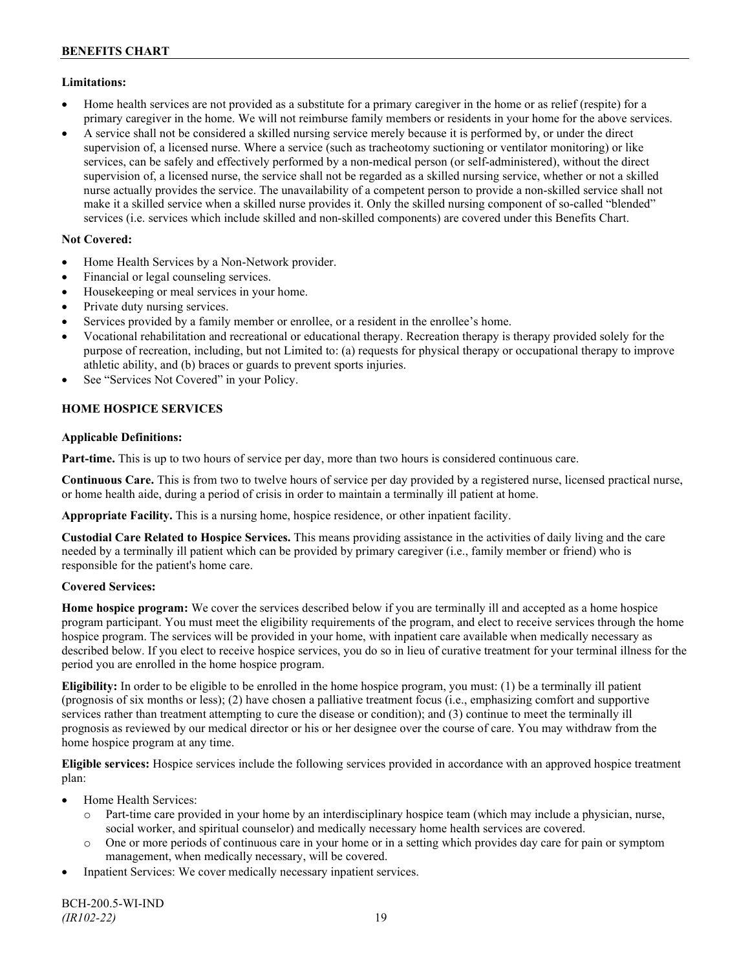### **Limitations:**

- Home health services are not provided as a substitute for a primary caregiver in the home or as relief (respite) for a primary caregiver in the home. We will not reimburse family members or residents in your home for the above services.
- A service shall not be considered a skilled nursing service merely because it is performed by, or under the direct supervision of, a licensed nurse. Where a service (such as tracheotomy suctioning or ventilator monitoring) or like services, can be safely and effectively performed by a non-medical person (or self-administered), without the direct supervision of, a licensed nurse, the service shall not be regarded as a skilled nursing service, whether or not a skilled nurse actually provides the service. The unavailability of a competent person to provide a non-skilled service shall not make it a skilled service when a skilled nurse provides it. Only the skilled nursing component of so-called "blended" services (i.e. services which include skilled and non-skilled components) are covered under this Benefits Chart.

## **Not Covered:**

- Home Health Services by a Non-Network provider.
- Financial or legal counseling services.
- Housekeeping or meal services in your home.
- Private duty nursing services.
- Services provided by a family member or enrollee, or a resident in the enrollee's home.
- Vocational rehabilitation and recreational or educational therapy. Recreation therapy is therapy provided solely for the purpose of recreation, including, but not Limited to: (a) requests for physical therapy or occupational therapy to improve athletic ability, and (b) braces or guards to prevent sports injuries.
- See "Services Not Covered" in your Policy.

## **HOME HOSPICE SERVICES**

### **Applicable Definitions:**

**Part-time.** This is up to two hours of service per day, more than two hours is considered continuous care.

**Continuous Care.** This is from two to twelve hours of service per day provided by a registered nurse, licensed practical nurse, or home health aide, during a period of crisis in order to maintain a terminally ill patient at home.

**Appropriate Facility.** This is a nursing home, hospice residence, or other inpatient facility.

**Custodial Care Related to Hospice Services.** This means providing assistance in the activities of daily living and the care needed by a terminally ill patient which can be provided by primary caregiver (i.e., family member or friend) who is responsible for the patient's home care.

## **Covered Services:**

**Home hospice program:** We cover the services described below if you are terminally ill and accepted as a home hospice program participant. You must meet the eligibility requirements of the program, and elect to receive services through the home hospice program. The services will be provided in your home, with inpatient care available when medically necessary as described below. If you elect to receive hospice services, you do so in lieu of curative treatment for your terminal illness for the period you are enrolled in the home hospice program.

**Eligibility:** In order to be eligible to be enrolled in the home hospice program, you must: (1) be a terminally ill patient (prognosis of six months or less); (2) have chosen a palliative treatment focus (i.e., emphasizing comfort and supportive services rather than treatment attempting to cure the disease or condition); and (3) continue to meet the terminally ill prognosis as reviewed by our medical director or his or her designee over the course of care. You may withdraw from the home hospice program at any time.

**Eligible services:** Hospice services include the following services provided in accordance with an approved hospice treatment plan:

- Home Health Services:
	- o Part-time care provided in your home by an interdisciplinary hospice team (which may include a physician, nurse, social worker, and spiritual counselor) and medically necessary home health services are covered.
	- o One or more periods of continuous care in your home or in a setting which provides day care for pain or symptom management, when medically necessary, will be covered.
- Inpatient Services: We cover medically necessary inpatient services.

BCH-200.5-WI-IND *(IR102-22)* 19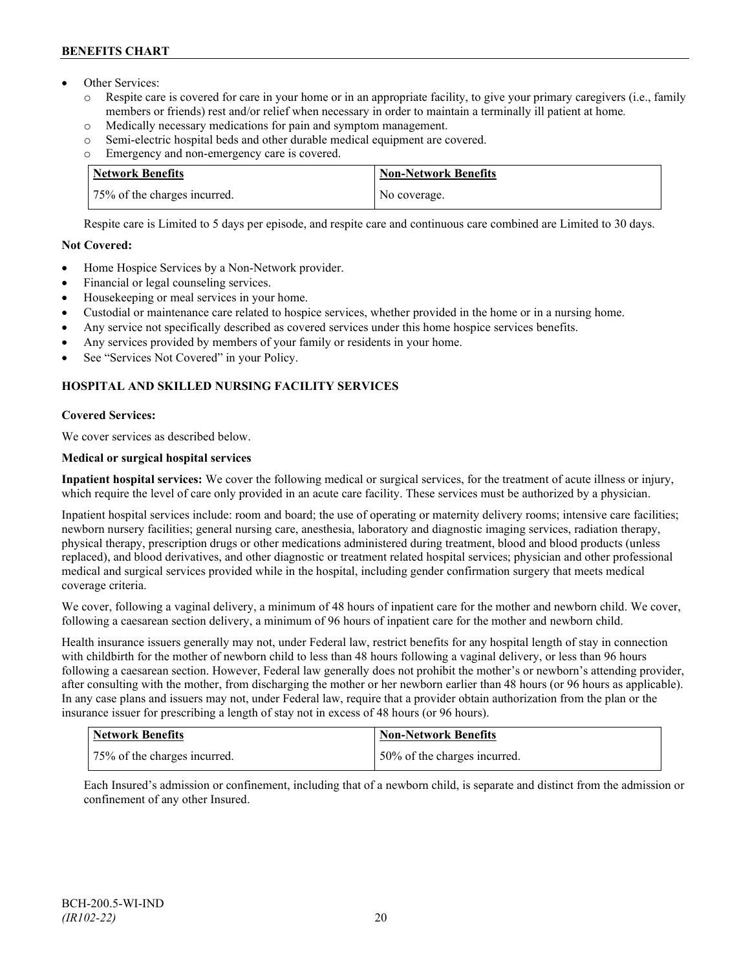- Other Services:
	- o Respite care is covered for care in your home or in an appropriate facility, to give your primary caregivers (i.e., family members or friends) rest and/or relief when necessary in order to maintain a terminally ill patient at home*.*
	- o Medically necessary medications for pain and symptom management.
	- o Semi-electric hospital beds and other durable medical equipment are covered.
	- o Emergency and non-emergency care is covered.

| Network Benefits             | <b>Non-Network Benefits</b> |
|------------------------------|-----------------------------|
| 75% of the charges incurred. | No coverage.                |

Respite care is Limited to 5 days per episode, and respite care and continuous care combined are Limited to 30 days.

## **Not Covered:**

- Home Hospice Services by a Non-Network provider.
- Financial or legal counseling services.
- Housekeeping or meal services in your home.
- Custodial or maintenance care related to hospice services, whether provided in the home or in a nursing home.
- Any service not specifically described as covered services under this home hospice services benefits.
- Any services provided by members of your family or residents in your home.
- See "Services Not Covered" in your Policy.

## **HOSPITAL AND SKILLED NURSING FACILITY SERVICES**

## **Covered Services:**

We cover services as described below.

## **Medical or surgical hospital services**

**Inpatient hospital services:** We cover the following medical or surgical services, for the treatment of acute illness or injury, which require the level of care only provided in an acute care facility. These services must be authorized by a physician.

Inpatient hospital services include: room and board; the use of operating or maternity delivery rooms; intensive care facilities; newborn nursery facilities; general nursing care, anesthesia, laboratory and diagnostic imaging services, radiation therapy, physical therapy, prescription drugs or other medications administered during treatment, blood and blood products (unless replaced), and blood derivatives, and other diagnostic or treatment related hospital services; physician and other professional medical and surgical services provided while in the hospital, including gender confirmation surgery that meets medical coverage criteria.

We cover, following a vaginal delivery, a minimum of 48 hours of inpatient care for the mother and newborn child. We cover, following a caesarean section delivery, a minimum of 96 hours of inpatient care for the mother and newborn child.

Health insurance issuers generally may not, under Federal law, restrict benefits for any hospital length of stay in connection with childbirth for the mother of newborn child to less than 48 hours following a vaginal delivery, or less than 96 hours following a caesarean section. However, Federal law generally does not prohibit the mother's or newborn's attending provider, after consulting with the mother, from discharging the mother or her newborn earlier than 48 hours (or 96 hours as applicable). In any case plans and issuers may not, under Federal law, require that a provider obtain authorization from the plan or the insurance issuer for prescribing a length of stay not in excess of 48 hours (or 96 hours).

| Network Benefits             | Non-Network Benefits         |
|------------------------------|------------------------------|
| 75% of the charges incurred. | 50% of the charges incurred. |

Each Insured's admission or confinement, including that of a newborn child, is separate and distinct from the admission or confinement of any other Insured.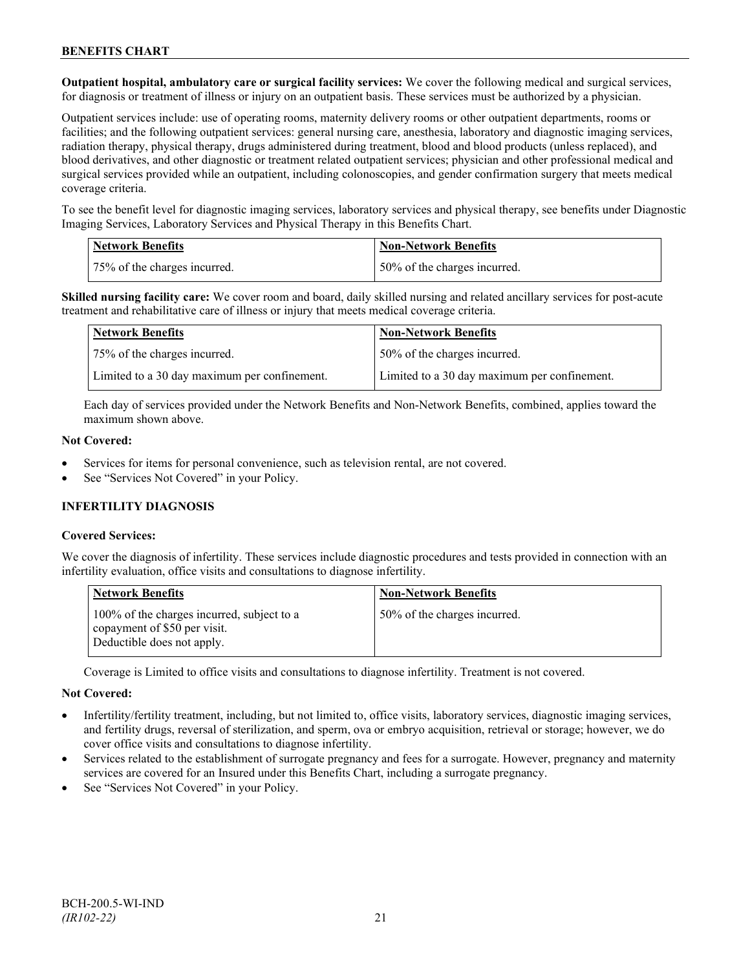**Outpatient hospital, ambulatory care or surgical facility services:** We cover the following medical and surgical services, for diagnosis or treatment of illness or injury on an outpatient basis. These services must be authorized by a physician.

Outpatient services include: use of operating rooms, maternity delivery rooms or other outpatient departments, rooms or facilities; and the following outpatient services: general nursing care, anesthesia, laboratory and diagnostic imaging services, radiation therapy, physical therapy, drugs administered during treatment, blood and blood products (unless replaced), and blood derivatives, and other diagnostic or treatment related outpatient services; physician and other professional medical and surgical services provided while an outpatient, including colonoscopies, and gender confirmation surgery that meets medical coverage criteria.

To see the benefit level for diagnostic imaging services, laboratory services and physical therapy, see benefits under Diagnostic Imaging Services, Laboratory Services and Physical Therapy in this Benefits Chart.

| <b>Network Benefits</b>      | <b>Non-Network Benefits</b>  |
|------------------------------|------------------------------|
| 75% of the charges incurred. | 50% of the charges incurred. |

**Skilled nursing facility care:** We cover room and board, daily skilled nursing and related ancillary services for post-acute treatment and rehabilitative care of illness or injury that meets medical coverage criteria.

| Network Benefits                             | <b>Non-Network Benefits</b>                  |
|----------------------------------------------|----------------------------------------------|
| 75% of the charges incurred.                 | 50% of the charges incurred.                 |
| Limited to a 30 day maximum per confinement. | Limited to a 30 day maximum per confinement. |

Each day of services provided under the Network Benefits and Non-Network Benefits, combined, applies toward the maximum shown above.

#### **Not Covered:**

- Services for items for personal convenience, such as television rental, are not covered.
- See "Services Not Covered" in your Policy.

### **INFERTILITY DIAGNOSIS**

### **Covered Services:**

We cover the diagnosis of infertility. These services include diagnostic procedures and tests provided in connection with an infertility evaluation, office visits and consultations to diagnose infertility.

| <b>Network Benefits</b>                                                                                  | <b>Non-Network Benefits</b>  |
|----------------------------------------------------------------------------------------------------------|------------------------------|
| 100% of the charges incurred, subject to a<br>copayment of \$50 per visit.<br>Deductible does not apply. | 50% of the charges incurred. |

Coverage is Limited to office visits and consultations to diagnose infertility. Treatment is not covered.

#### **Not Covered:**

- Infertility/fertility treatment, including, but not limited to, office visits, laboratory services, diagnostic imaging services, and fertility drugs, reversal of sterilization, and sperm, ova or embryo acquisition, retrieval or storage; however, we do cover office visits and consultations to diagnose infertility.
- Services related to the establishment of surrogate pregnancy and fees for a surrogate. However, pregnancy and maternity services are covered for an Insured under this Benefits Chart, including a surrogate pregnancy.
- See "Services Not Covered" in your Policy.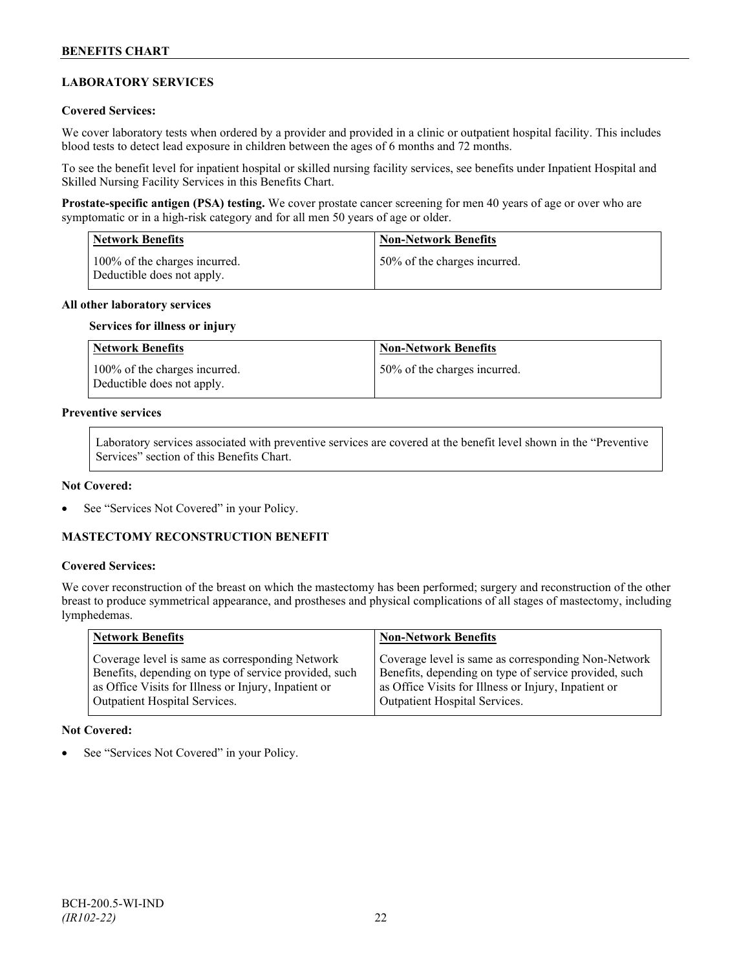## **LABORATORY SERVICES**

### **Covered Services:**

We cover laboratory tests when ordered by a provider and provided in a clinic or outpatient hospital facility. This includes blood tests to detect lead exposure in children between the ages of 6 months and 72 months.

To see the benefit level for inpatient hospital or skilled nursing facility services, see benefits under Inpatient Hospital and Skilled Nursing Facility Services in this Benefits Chart.

**Prostate-specific antigen (PSA) testing.** We cover prostate cancer screening for men 40 years of age or over who are symptomatic or in a high-risk category and for all men 50 years of age or older.

| <b>Network Benefits</b>                                     | <b>Non-Network Benefits</b>  |
|-------------------------------------------------------------|------------------------------|
| 100% of the charges incurred.<br>Deductible does not apply. | 50% of the charges incurred. |

#### **All other laboratory services**

#### **Services for illness or injury**

| Network Benefits                                            | <b>Non-Network Benefits</b>  |
|-------------------------------------------------------------|------------------------------|
| 100% of the charges incurred.<br>Deductible does not apply. | 50% of the charges incurred. |

## **Preventive services**

Laboratory services associated with preventive services are covered at the benefit level shown in the "Preventive Services" section of this Benefits Chart.

#### **Not Covered:**

See "Services Not Covered" in your Policy.

### **MASTECTOMY RECONSTRUCTION BENEFIT**

#### **Covered Services:**

We cover reconstruction of the breast on which the mastectomy has been performed; surgery and reconstruction of the other breast to produce symmetrical appearance, and prostheses and physical complications of all stages of mastectomy, including lymphedemas.

| Network Benefits                                      | <b>Non-Network Benefits</b>                           |
|-------------------------------------------------------|-------------------------------------------------------|
| Coverage level is same as corresponding Network       | Coverage level is same as corresponding Non-Network   |
| Benefits, depending on type of service provided, such | Benefits, depending on type of service provided, such |
| as Office Visits for Illness or Injury, Inpatient or  | as Office Visits for Illness or Injury, Inpatient or  |
| <b>Outpatient Hospital Services.</b>                  | Outpatient Hospital Services.                         |

#### **Not Covered:**

See "Services Not Covered" in your Policy.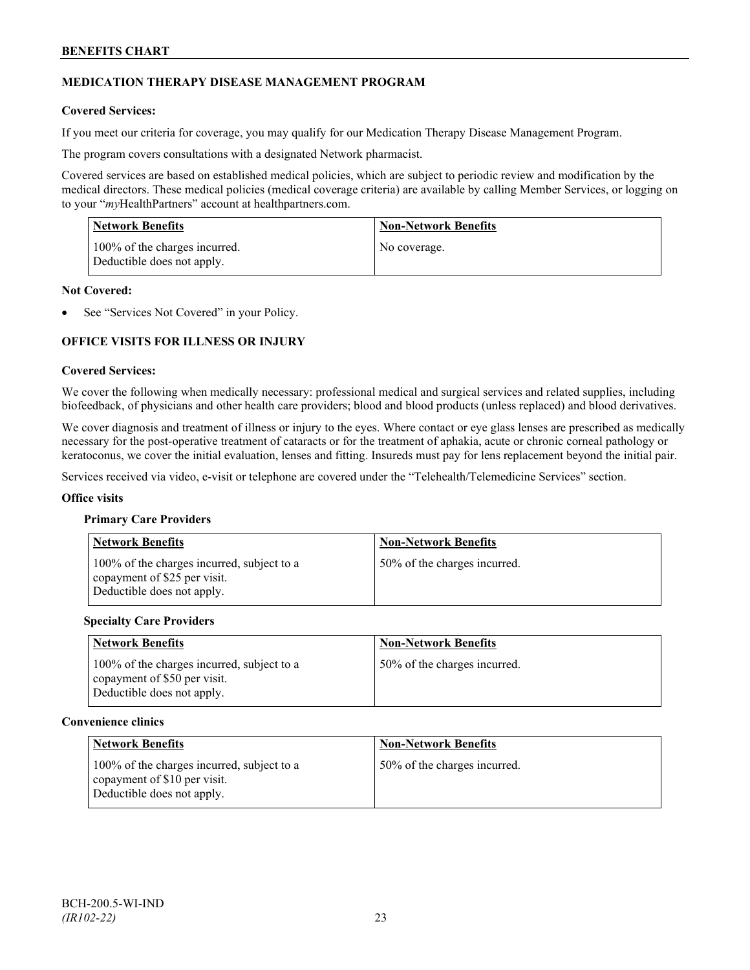## **MEDICATION THERAPY DISEASE MANAGEMENT PROGRAM**

### **Covered Services:**

If you meet our criteria for coverage, you may qualify for our Medication Therapy Disease Management Program.

The program covers consultations with a designated Network pharmacist.

Covered services are based on established medical policies, which are subject to periodic review and modification by the medical directors. These medical policies (medical coverage criteria) are available by calling Member Services, or logging on to your "*my*HealthPartners" account at [healthpartners.com.](http://www.healthpartners.com/)

| <b>Network Benefits</b>                                     | <b>Non-Network Benefits</b> |
|-------------------------------------------------------------|-----------------------------|
| 100% of the charges incurred.<br>Deductible does not apply. | No coverage.                |

#### **Not Covered:**

See "Services Not Covered" in your Policy.

## **OFFICE VISITS FOR ILLNESS OR INJURY**

#### **Covered Services:**

We cover the following when medically necessary: professional medical and surgical services and related supplies, including biofeedback, of physicians and other health care providers; blood and blood products (unless replaced) and blood derivatives.

We cover diagnosis and treatment of illness or injury to the eyes. Where contact or eye glass lenses are prescribed as medically necessary for the post-operative treatment of cataracts or for the treatment of aphakia, acute or chronic corneal pathology or keratoconus, we cover the initial evaluation, lenses and fitting. Insureds must pay for lens replacement beyond the initial pair.

Services received via video, e-visit or telephone are covered under the "Telehealth/Telemedicine Services" section.

#### **Office visits**

#### **Primary Care Providers**

| <b>Network Benefits</b>                                                                                  | <b>Non-Network Benefits</b>  |
|----------------------------------------------------------------------------------------------------------|------------------------------|
| 100% of the charges incurred, subject to a<br>copayment of \$25 per visit.<br>Deductible does not apply. | 50% of the charges incurred. |

#### **Specialty Care Providers**

| <b>Network Benefits</b>                                                                                  | <b>Non-Network Benefits</b>  |
|----------------------------------------------------------------------------------------------------------|------------------------------|
| 100% of the charges incurred, subject to a<br>copayment of \$50 per visit.<br>Deductible does not apply. | 50% of the charges incurred. |

#### **Convenience clinics**

| <b>Network Benefits</b>                                                                                  | <b>Non-Network Benefits</b>  |
|----------------------------------------------------------------------------------------------------------|------------------------------|
| 100% of the charges incurred, subject to a<br>copayment of \$10 per visit.<br>Deductible does not apply. | 50% of the charges incurred. |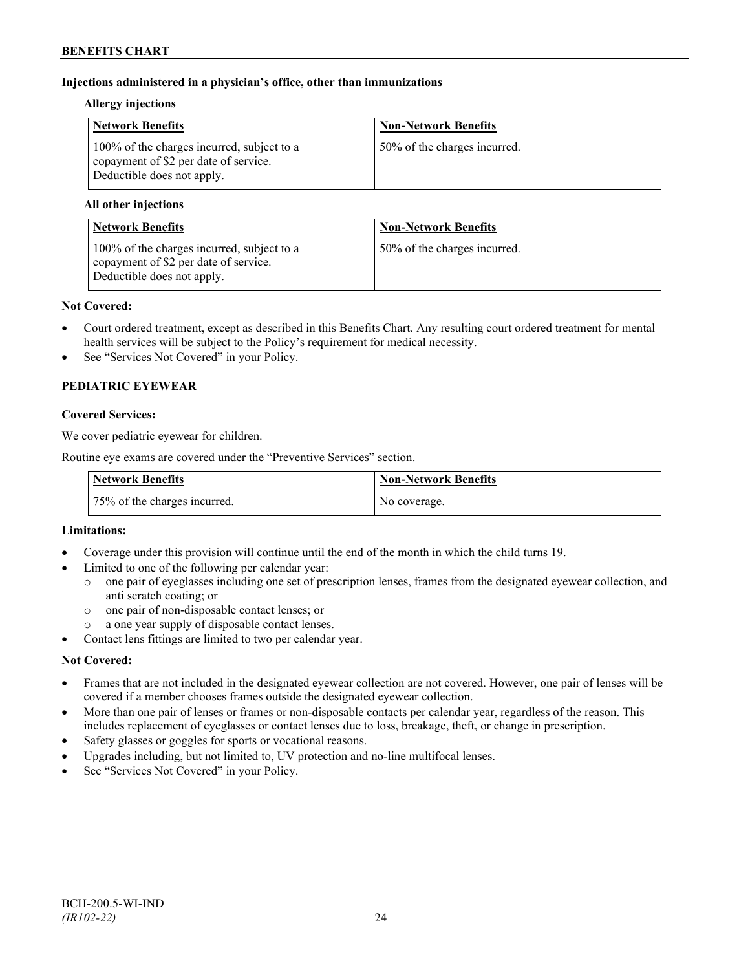### **Injections administered in a physician's office, other than immunizations**

### **Allergy injections**

| <b>Network Benefits</b>                                                                                           | <b>Non-Network Benefits</b>  |
|-------------------------------------------------------------------------------------------------------------------|------------------------------|
| 100% of the charges incurred, subject to a<br>copayment of \$2 per date of service.<br>Deductible does not apply. | 50% of the charges incurred. |

### **All other injections**

| <b>Network Benefits</b>                                                                                           | <b>Non-Network Benefits</b>  |
|-------------------------------------------------------------------------------------------------------------------|------------------------------|
| 100% of the charges incurred, subject to a<br>copayment of \$2 per date of service.<br>Deductible does not apply. | 50% of the charges incurred. |

#### **Not Covered:**

- Court ordered treatment, except as described in this Benefits Chart. Any resulting court ordered treatment for mental health services will be subject to the Policy's requirement for medical necessity.
- See "Services Not Covered" in your Policy.

## **PEDIATRIC EYEWEAR**

### **Covered Services:**

We cover pediatric eyewear for children.

Routine eye exams are covered under the "Preventive Services" section.

| <b>Network Benefits</b>      | Non-Network Benefits |
|------------------------------|----------------------|
| 75% of the charges incurred. | No coverage.         |

### **Limitations:**

- Coverage under this provision will continue until the end of the month in which the child turns 19.
- Limited to one of the following per calendar year:
	- o one pair of eyeglasses including one set of prescription lenses, frames from the designated eyewear collection, and anti scratch coating; or
	- o one pair of non-disposable contact lenses; or
	- a one year supply of disposable contact lenses.
- Contact lens fittings are limited to two per calendar year.

### **Not Covered:**

- Frames that are not included in the designated eyewear collection are not covered. However, one pair of lenses will be covered if a member chooses frames outside the designated eyewear collection.
- More than one pair of lenses or frames or non-disposable contacts per calendar year, regardless of the reason. This includes replacement of eyeglasses or contact lenses due to loss, breakage, theft, or change in prescription.
- Safety glasses or goggles for sports or vocational reasons.
- Upgrades including, but not limited to, UV protection and no-line multifocal lenses.
- See "Services Not Covered" in your Policy.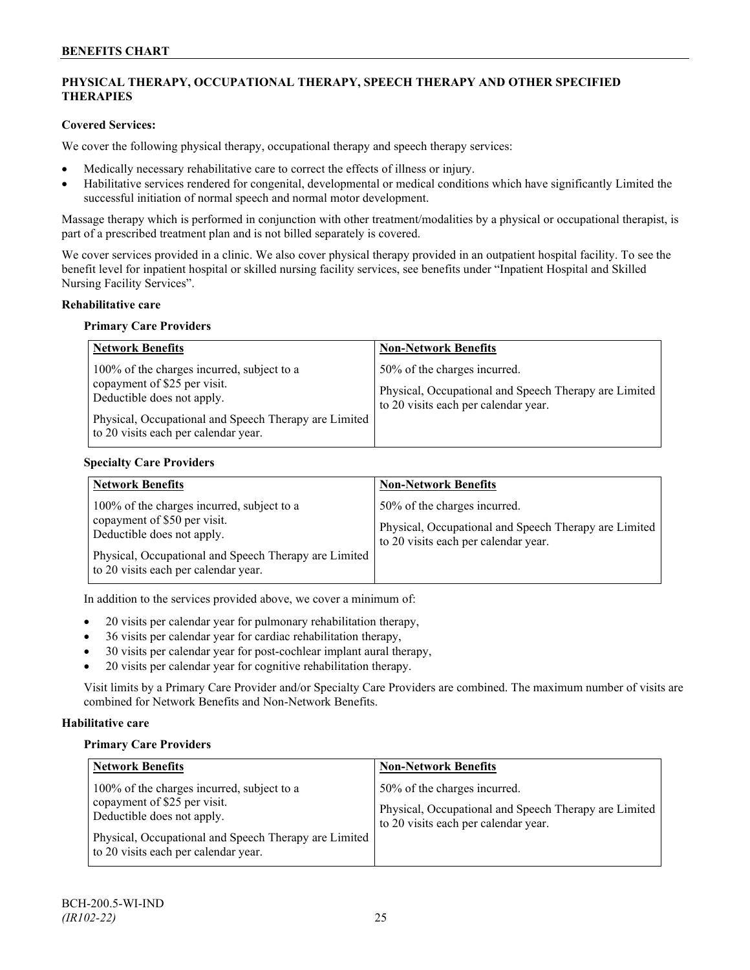## **PHYSICAL THERAPY, OCCUPATIONAL THERAPY, SPEECH THERAPY AND OTHER SPECIFIED THERAPIES**

### **Covered Services:**

We cover the following physical therapy, occupational therapy and speech therapy services:

- Medically necessary rehabilitative care to correct the effects of illness or injury.
- Habilitative services rendered for congenital, developmental or medical conditions which have significantly Limited the successful initiation of normal speech and normal motor development.

Massage therapy which is performed in conjunction with other treatment/modalities by a physical or occupational therapist, is part of a prescribed treatment plan and is not billed separately is covered.

We cover services provided in a clinic. We also cover physical therapy provided in an outpatient hospital facility. To see the benefit level for inpatient hospital or skilled nursing facility services, see benefits under "Inpatient Hospital and Skilled Nursing Facility Services".

### **Rehabilitative care**

#### **Primary Care Providers**

| <b>Network Benefits</b>                                                                                                                                                                                   | <b>Non-Network Benefits</b>                                                                                                   |
|-----------------------------------------------------------------------------------------------------------------------------------------------------------------------------------------------------------|-------------------------------------------------------------------------------------------------------------------------------|
| 100% of the charges incurred, subject to a<br>copayment of \$25 per visit.<br>Deductible does not apply.<br>Physical, Occupational and Speech Therapy are Limited<br>to 20 visits each per calendar year. | 50% of the charges incurred.<br>Physical, Occupational and Speech Therapy are Limited<br>to 20 visits each per calendar year. |

### **Specialty Care Providers**

| <b>Network Benefits</b>                                                                                                                                                                                   | <b>Non-Network Benefits</b>                                                                                                   |
|-----------------------------------------------------------------------------------------------------------------------------------------------------------------------------------------------------------|-------------------------------------------------------------------------------------------------------------------------------|
| 100% of the charges incurred, subject to a<br>copayment of \$50 per visit.<br>Deductible does not apply.<br>Physical, Occupational and Speech Therapy are Limited<br>to 20 visits each per calendar year. | 50% of the charges incurred.<br>Physical, Occupational and Speech Therapy are Limited<br>to 20 visits each per calendar year. |

In addition to the services provided above, we cover a minimum of:

- 20 visits per calendar year for pulmonary rehabilitation therapy,
- 36 visits per calendar year for cardiac rehabilitation therapy,
- 30 visits per calendar year for post-cochlear implant aural therapy,
- 20 visits per calendar year for cognitive rehabilitation therapy.

Visit limits by a Primary Care Provider and/or Specialty Care Providers are combined. The maximum number of visits are combined for Network Benefits and Non-Network Benefits.

### **Habilitative care**

#### **Primary Care Providers**

| <b>Network Benefits</b>                                                                                                                                                                                   | <b>Non-Network Benefits</b>                                                                                                   |
|-----------------------------------------------------------------------------------------------------------------------------------------------------------------------------------------------------------|-------------------------------------------------------------------------------------------------------------------------------|
| 100% of the charges incurred, subject to a<br>copayment of \$25 per visit.<br>Deductible does not apply.<br>Physical, Occupational and Speech Therapy are Limited<br>to 20 visits each per calendar year. | 50% of the charges incurred.<br>Physical, Occupational and Speech Therapy are Limited<br>to 20 visits each per calendar year. |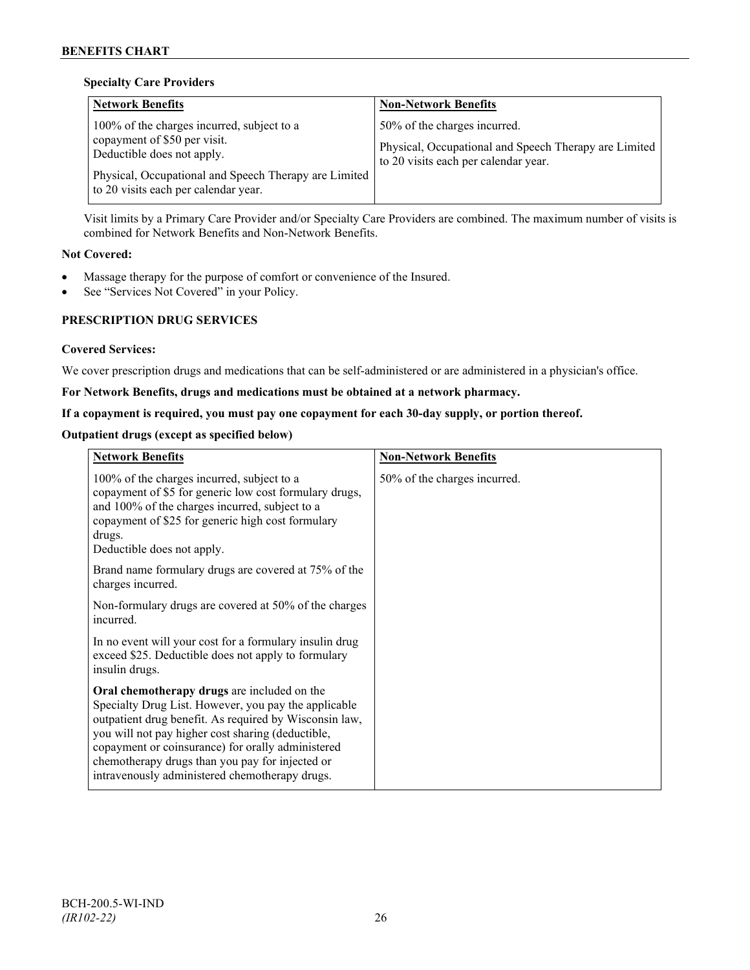### **Specialty Care Providers**

| <b>Network Benefits</b>                                                                                                                                                                                     | <b>Non-Network Benefits</b>                                                                                                   |
|-------------------------------------------------------------------------------------------------------------------------------------------------------------------------------------------------------------|-------------------------------------------------------------------------------------------------------------------------------|
| 100% of the charges incurred, subject to a<br>copayment of \$50 per visit.<br>Deductible does not apply.<br>Physical, Occupational and Speech Therapy are Limited  <br>to 20 visits each per calendar year. | 50% of the charges incurred.<br>Physical, Occupational and Speech Therapy are Limited<br>to 20 visits each per calendar year. |

Visit limits by a Primary Care Provider and/or Specialty Care Providers are combined. The maximum number of visits is combined for Network Benefits and Non-Network Benefits.

## **Not Covered:**

- Massage therapy for the purpose of comfort or convenience of the Insured.
- See "Services Not Covered" in your Policy.

## **PRESCRIPTION DRUG SERVICES**

### **Covered Services:**

We cover prescription drugs and medications that can be self-administered or are administered in a physician's office.

### **For Network Benefits, drugs and medications must be obtained at a network pharmacy.**

## **If a copayment is required, you must pay one copayment for each 30-day supply, or portion thereof.**

## **Outpatient drugs (except as specified below)**

| <b>Network Benefits</b>                                                                                                                                                                                                                                                                                                                                                      | <b>Non-Network Benefits</b>  |
|------------------------------------------------------------------------------------------------------------------------------------------------------------------------------------------------------------------------------------------------------------------------------------------------------------------------------------------------------------------------------|------------------------------|
| 100% of the charges incurred, subject to a<br>copayment of \$5 for generic low cost formulary drugs,<br>and 100% of the charges incurred, subject to a<br>copayment of \$25 for generic high cost formulary<br>drugs.<br>Deductible does not apply.                                                                                                                          | 50% of the charges incurred. |
| Brand name formulary drugs are covered at 75% of the<br>charges incurred.                                                                                                                                                                                                                                                                                                    |                              |
| Non-formulary drugs are covered at 50% of the charges<br>incurred.                                                                                                                                                                                                                                                                                                           |                              |
| In no event will your cost for a formulary insulin drug<br>exceed \$25. Deductible does not apply to formulary<br>insulin drugs.                                                                                                                                                                                                                                             |                              |
| Oral chemotherapy drugs are included on the<br>Specialty Drug List. However, you pay the applicable<br>outpatient drug benefit. As required by Wisconsin law,<br>you will not pay higher cost sharing (deductible,<br>copayment or coinsurance) for orally administered<br>chemotherapy drugs than you pay for injected or<br>intravenously administered chemotherapy drugs. |                              |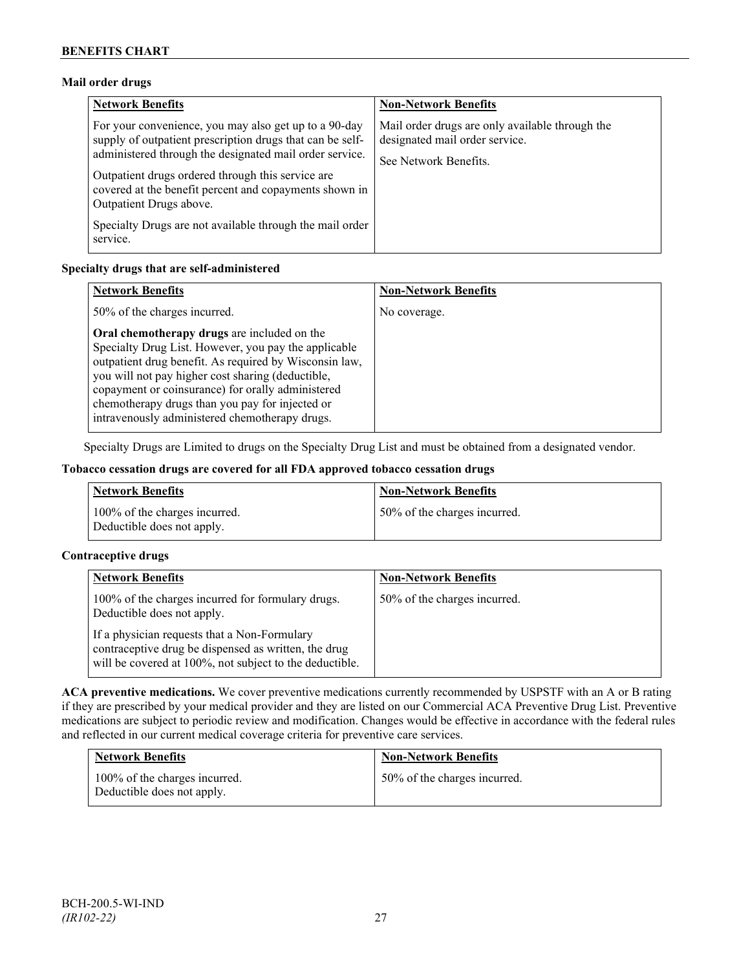### **Mail order drugs**

| <b>Network Benefits</b>                                                                                                                                                                                                                                                                                                 | <b>Non-Network Benefits</b>                                                                                |
|-------------------------------------------------------------------------------------------------------------------------------------------------------------------------------------------------------------------------------------------------------------------------------------------------------------------------|------------------------------------------------------------------------------------------------------------|
| For your convenience, you may also get up to a 90-day<br>supply of outpatient prescription drugs that can be self-<br>administered through the designated mail order service.<br>Outpatient drugs ordered through this service are<br>covered at the benefit percent and copayments shown in<br>Outpatient Drugs above. | Mail order drugs are only available through the<br>designated mail order service.<br>See Network Benefits. |
| Specialty Drugs are not available through the mail order<br>service.                                                                                                                                                                                                                                                    |                                                                                                            |

### **Specialty drugs that are self-administered**

| <b>Network Benefits</b>                                                                                                                                                                                                                                                                                                                                                      | <b>Non-Network Benefits</b> |
|------------------------------------------------------------------------------------------------------------------------------------------------------------------------------------------------------------------------------------------------------------------------------------------------------------------------------------------------------------------------------|-----------------------------|
| 50% of the charges incurred.                                                                                                                                                                                                                                                                                                                                                 | No coverage.                |
| Oral chemotherapy drugs are included on the<br>Specialty Drug List. However, you pay the applicable<br>outpatient drug benefit. As required by Wisconsin law,<br>you will not pay higher cost sharing (deductible,<br>copayment or coinsurance) for orally administered<br>chemotherapy drugs than you pay for injected or<br>intravenously administered chemotherapy drugs. |                             |

Specialty Drugs are Limited to drugs on the Specialty Drug List and must be obtained from a designated vendor.

### **Tobacco cessation drugs are covered for all FDA approved tobacco cessation drugs**

| <b>Network Benefits</b>                                     | <b>Non-Network Benefits</b>  |
|-------------------------------------------------------------|------------------------------|
| 100% of the charges incurred.<br>Deductible does not apply. | 50% of the charges incurred. |

### **Contraceptive drugs**

| <b>Network Benefits</b>                                                                                                                                         | <b>Non-Network Benefits</b>  |
|-----------------------------------------------------------------------------------------------------------------------------------------------------------------|------------------------------|
| 100% of the charges incurred for formulary drugs.<br>Deductible does not apply.                                                                                 | 50% of the charges incurred. |
| If a physician requests that a Non-Formulary<br>contraceptive drug be dispensed as written, the drug<br>will be covered at 100%, not subject to the deductible. |                              |

**ACA preventive medications.** We cover preventive medications currently recommended by USPSTF with an A or B rating if they are prescribed by your medical provider and they are listed on our Commercial ACA Preventive Drug List. Preventive medications are subject to periodic review and modification. Changes would be effective in accordance with the federal rules and reflected in our current medical coverage criteria for preventive care services.

| <b>Network Benefits</b>                                     | <b>Non-Network Benefits</b>  |
|-------------------------------------------------------------|------------------------------|
| 100% of the charges incurred.<br>Deductible does not apply. | 50% of the charges incurred. |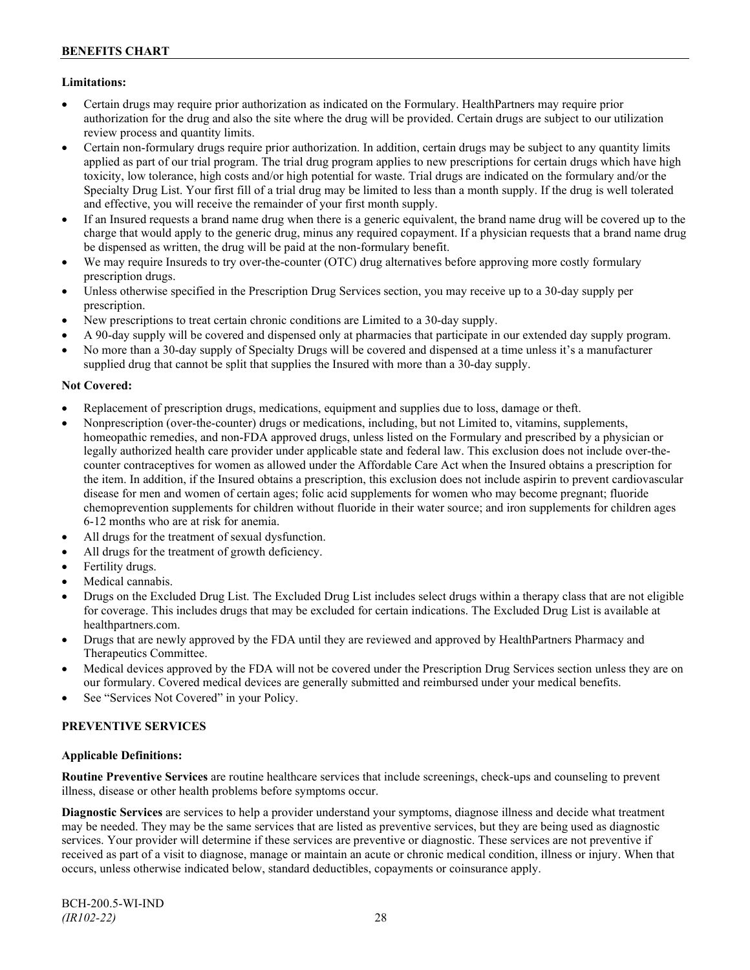### **Limitations:**

- Certain drugs may require prior authorization as indicated on the Formulary. HealthPartners may require prior authorization for the drug and also the site where the drug will be provided. Certain drugs are subject to our utilization review process and quantity limits.
- Certain non-formulary drugs require prior authorization. In addition, certain drugs may be subject to any quantity limits applied as part of our trial program. The trial drug program applies to new prescriptions for certain drugs which have high toxicity, low tolerance, high costs and/or high potential for waste. Trial drugs are indicated on the formulary and/or the Specialty Drug List. Your first fill of a trial drug may be limited to less than a month supply. If the drug is well tolerated and effective, you will receive the remainder of your first month supply.
- If an Insured requests a brand name drug when there is a generic equivalent, the brand name drug will be covered up to the charge that would apply to the generic drug, minus any required copayment. If a physician requests that a brand name drug be dispensed as written, the drug will be paid at the non-formulary benefit.
- We may require Insureds to try over-the-counter (OTC) drug alternatives before approving more costly formulary prescription drugs.
- Unless otherwise specified in the Prescription Drug Services section, you may receive up to a 30-day supply per prescription.
- New prescriptions to treat certain chronic conditions are Limited to a 30-day supply.
- A 90-day supply will be covered and dispensed only at pharmacies that participate in our extended day supply program.
- No more than a 30-day supply of Specialty Drugs will be covered and dispensed at a time unless it's a manufacturer supplied drug that cannot be split that supplies the Insured with more than a 30-day supply.

### **Not Covered:**

- Replacement of prescription drugs, medications, equipment and supplies due to loss, damage or theft.
- Nonprescription (over-the-counter) drugs or medications, including, but not Limited to, vitamins, supplements, homeopathic remedies, and non-FDA approved drugs, unless listed on the Formulary and prescribed by a physician or legally authorized health care provider under applicable state and federal law. This exclusion does not include over-thecounter contraceptives for women as allowed under the Affordable Care Act when the Insured obtains a prescription for the item. In addition, if the Insured obtains a prescription, this exclusion does not include aspirin to prevent cardiovascular disease for men and women of certain ages; folic acid supplements for women who may become pregnant; fluoride chemoprevention supplements for children without fluoride in their water source; and iron supplements for children ages 6-12 months who are at risk for anemia.
- All drugs for the treatment of sexual dysfunction.
- All drugs for the treatment of growth deficiency.
- Fertility drugs.
- Medical cannabis.
- Drugs on the Excluded Drug List. The Excluded Drug List includes select drugs within a therapy class that are not eligible for coverage. This includes drugs that may be excluded for certain indications. The Excluded Drug List is available at [healthpartners.com.](http://www.healthpartners.com/)
- Drugs that are newly approved by the FDA until they are reviewed and approved by HealthPartners Pharmacy and Therapeutics Committee.
- Medical devices approved by the FDA will not be covered under the Prescription Drug Services section unless they are on our formulary. Covered medical devices are generally submitted and reimbursed under your medical benefits.
- See "Services Not Covered" in your Policy.

### **PREVENTIVE SERVICES**

#### **Applicable Definitions:**

**Routine Preventive Services** are routine healthcare services that include screenings, check-ups and counseling to prevent illness, disease or other health problems before symptoms occur.

**Diagnostic Services** are services to help a provider understand your symptoms, diagnose illness and decide what treatment may be needed. They may be the same services that are listed as preventive services, but they are being used as diagnostic services. Your provider will determine if these services are preventive or diagnostic. These services are not preventive if received as part of a visit to diagnose, manage or maintain an acute or chronic medical condition, illness or injury. When that occurs, unless otherwise indicated below, standard deductibles, copayments or coinsurance apply.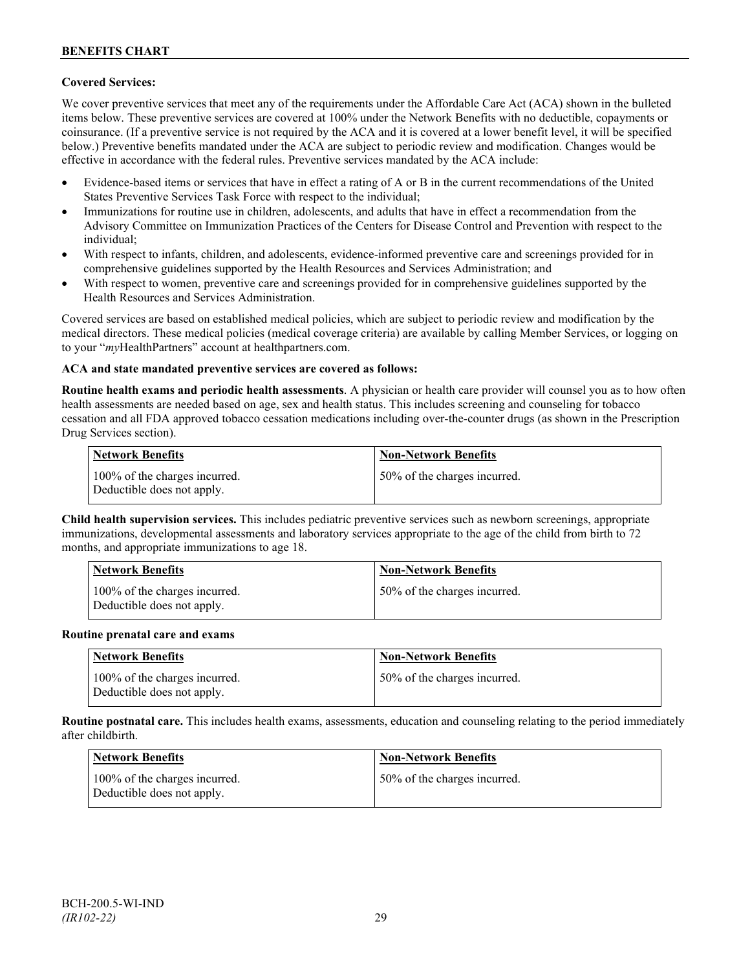### **Covered Services:**

We cover preventive services that meet any of the requirements under the Affordable Care Act (ACA) shown in the bulleted items below. These preventive services are covered at 100% under the Network Benefits with no deductible, copayments or coinsurance. (If a preventive service is not required by the ACA and it is covered at a lower benefit level, it will be specified below.) Preventive benefits mandated under the ACA are subject to periodic review and modification. Changes would be effective in accordance with the federal rules. Preventive services mandated by the ACA include:

- Evidence-based items or services that have in effect a rating of A or B in the current recommendations of the United States Preventive Services Task Force with respect to the individual;
- Immunizations for routine use in children, adolescents, and adults that have in effect a recommendation from the Advisory Committee on Immunization Practices of the Centers for Disease Control and Prevention with respect to the individual;
- With respect to infants, children, and adolescents, evidence-informed preventive care and screenings provided for in comprehensive guidelines supported by the Health Resources and Services Administration; and
- With respect to women, preventive care and screenings provided for in comprehensive guidelines supported by the Health Resources and Services Administration.

Covered services are based on established medical policies, which are subject to periodic review and modification by the medical directors. These medical policies (medical coverage criteria) are available by calling Member Services, or logging on to your "*my*HealthPartners" account at [healthpartners.com.](http://www.healthpartners.com/)

### **ACA and state mandated preventive services are covered as follows:**

**Routine health exams and periodic health assessments**. A physician or health care provider will counsel you as to how often health assessments are needed based on age, sex and health status. This includes screening and counseling for tobacco cessation and all FDA approved tobacco cessation medications including over-the-counter drugs (as shown in the Prescription Drug Services section).

| <b>Network Benefits</b>                                     | <b>Non-Network Benefits</b>  |
|-------------------------------------------------------------|------------------------------|
| 100% of the charges incurred.<br>Deductible does not apply. | 50% of the charges incurred. |

**Child health supervision services.** This includes pediatric preventive services such as newborn screenings, appropriate immunizations, developmental assessments and laboratory services appropriate to the age of the child from birth to 72 months, and appropriate immunizations to age 18.

| <b>Network Benefits</b>                                     | <b>Non-Network Benefits</b>  |
|-------------------------------------------------------------|------------------------------|
| 100% of the charges incurred.<br>Deductible does not apply. | 50% of the charges incurred. |

#### **Routine prenatal care and exams**

| Network Benefits                                            | <b>Non-Network Benefits</b>  |
|-------------------------------------------------------------|------------------------------|
| 100% of the charges incurred.<br>Deductible does not apply. | 50% of the charges incurred. |

**Routine postnatal care.** This includes health exams, assessments, education and counseling relating to the period immediately after childbirth.

| <b>Network Benefits</b>                                     | <b>Non-Network Benefits</b>  |
|-------------------------------------------------------------|------------------------------|
| 100% of the charges incurred.<br>Deductible does not apply. | 50% of the charges incurred. |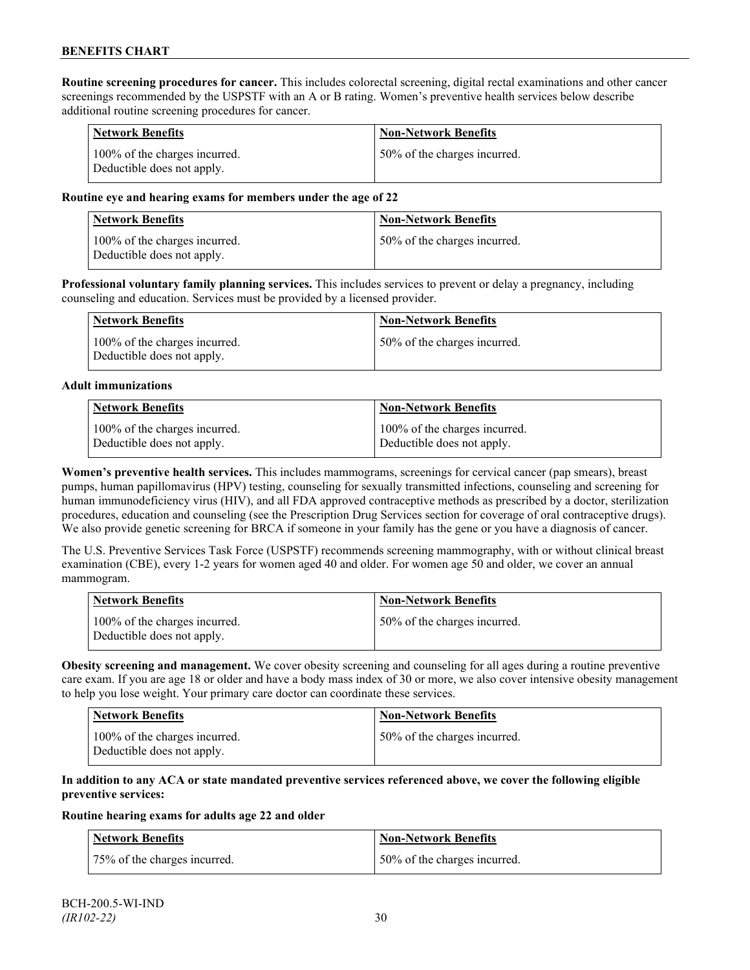**Routine screening procedures for cancer.** This includes colorectal screening, digital rectal examinations and other cancer screenings recommended by the USPSTF with an A or B rating. Women's preventive health services below describe additional routine screening procedures for cancer.

| <b>Network Benefits</b>                                     | <b>Non-Network Benefits</b>  |
|-------------------------------------------------------------|------------------------------|
| 100% of the charges incurred.<br>Deductible does not apply. | 50% of the charges incurred. |

### **Routine eye and hearing exams for members under the age of 22**

| Network Benefits                                            | <b>Non-Network Benefits</b>  |
|-------------------------------------------------------------|------------------------------|
| 100% of the charges incurred.<br>Deductible does not apply. | 50% of the charges incurred. |

**Professional voluntary family planning services.** This includes services to prevent or delay a pregnancy, including counseling and education. Services must be provided by a licensed provider.

| Network Benefits                                            | <b>Non-Network Benefits</b>  |
|-------------------------------------------------------------|------------------------------|
| 100% of the charges incurred.<br>Deductible does not apply. | 50% of the charges incurred. |

#### **Adult immunizations**

| <b>Network Benefits</b>       | <b>Non-Network Benefits</b>   |
|-------------------------------|-------------------------------|
| 100% of the charges incurred. | 100% of the charges incurred. |
| Deductible does not apply.    | Deductible does not apply.    |

**Women's preventive health services.** This includes mammograms, screenings for cervical cancer (pap smears), breast pumps, human papillomavirus (HPV) testing, counseling for sexually transmitted infections, counseling and screening for human immunodeficiency virus (HIV), and all FDA approved contraceptive methods as prescribed by a doctor, sterilization procedures, education and counseling (see the Prescription Drug Services section for coverage of oral contraceptive drugs). We also provide genetic screening for BRCA if someone in your family has the gene or you have a diagnosis of cancer.

The U.S. Preventive Services Task Force (USPSTF) recommends screening mammography, with or without clinical breast examination (CBE), every 1-2 years for women aged 40 and older. For women age 50 and older, we cover an annual mammogram.

| Network Benefits                                            | <b>Non-Network Benefits</b>  |
|-------------------------------------------------------------|------------------------------|
| 100% of the charges incurred.<br>Deductible does not apply. | 50% of the charges incurred. |

**Obesity screening and management.** We cover obesity screening and counseling for all ages during a routine preventive care exam. If you are age 18 or older and have a body mass index of 30 or more, we also cover intensive obesity management to help you lose weight. Your primary care doctor can coordinate these services.

| <b>Network Benefits</b>                                     | Non-Network Benefits         |
|-------------------------------------------------------------|------------------------------|
| 100% of the charges incurred.<br>Deductible does not apply. | 50% of the charges incurred. |

### **In addition to any ACA or state mandated preventive services referenced above, we cover the following eligible preventive services:**

#### **Routine hearing exams for adults age 22 and older**

| <b>Network Benefits</b>      | <b>Non-Network Benefits</b>  |
|------------------------------|------------------------------|
| 75% of the charges incurred. | 50% of the charges incurred. |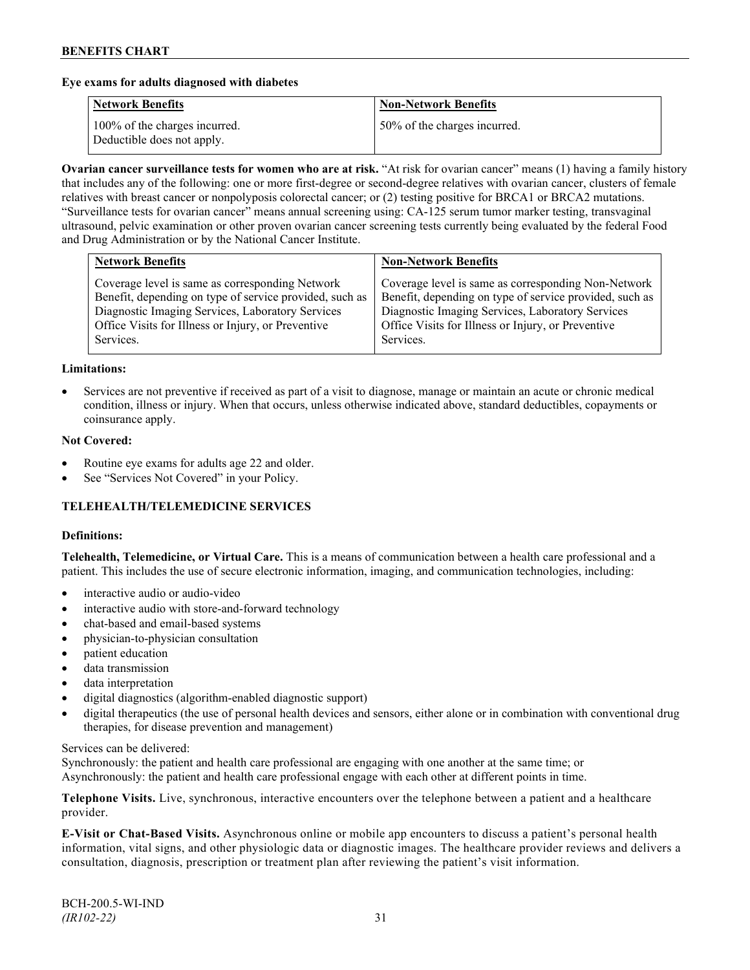### **Eye exams for adults diagnosed with diabetes**

| <b>Network Benefits</b>                                     | <b>Non-Network Benefits</b>  |
|-------------------------------------------------------------|------------------------------|
| 100% of the charges incurred.<br>Deductible does not apply. | 50% of the charges incurred. |

**Ovarian cancer surveillance tests for women who are at risk.** "At risk for ovarian cancer" means (1) having a family history that includes any of the following: one or more first-degree or second-degree relatives with ovarian cancer, clusters of female relatives with breast cancer or nonpolyposis colorectal cancer; or (2) testing positive for BRCA1 or BRCA2 mutations. "Surveillance tests for ovarian cancer" means annual screening using: CA-125 serum tumor marker testing, transvaginal ultrasound, pelvic examination or other proven ovarian cancer screening tests currently being evaluated by the federal Food and Drug Administration or by the National Cancer Institute.

| Coverage level is same as corresponding Network<br>Benefit, depending on type of service provided, such as<br>Diagnostic Imaging Services, Laboratory Services<br>Diagnostic Imaging Services, Laboratory Services<br>Office Visits for Illness or Injury, or Preventive<br>Office Visits for Illness or Injury, or Preventive | <b>Network Benefits</b> | <b>Non-Network Benefits</b>                                                                                                 |
|--------------------------------------------------------------------------------------------------------------------------------------------------------------------------------------------------------------------------------------------------------------------------------------------------------------------------------|-------------------------|-----------------------------------------------------------------------------------------------------------------------------|
|                                                                                                                                                                                                                                                                                                                                | Services.               | Coverage level is same as corresponding Non-Network<br>Benefit, depending on type of service provided, such as<br>Services. |

#### **Limitations:**

• Services are not preventive if received as part of a visit to diagnose, manage or maintain an acute or chronic medical condition, illness or injury. When that occurs, unless otherwise indicated above, standard deductibles, copayments or coinsurance apply.

#### **Not Covered:**

- Routine eye exams for adults age 22 and older.
- See "Services Not Covered" in your Policy.

## **TELEHEALTH/TELEMEDICINE SERVICES**

#### **Definitions:**

**Telehealth, Telemedicine, or Virtual Care.** This is a means of communication between a health care professional and a patient. This includes the use of secure electronic information, imaging, and communication technologies, including:

- interactive audio or audio-video
- interactive audio with store-and-forward technology
- chat-based and email-based systems
- physician-to-physician consultation
- patient education
- data transmission
- data interpretation
- digital diagnostics (algorithm-enabled diagnostic support)
- digital therapeutics (the use of personal health devices and sensors, either alone or in combination with conventional drug therapies, for disease prevention and management)

#### Services can be delivered:

Synchronously: the patient and health care professional are engaging with one another at the same time; or Asynchronously: the patient and health care professional engage with each other at different points in time.

**Telephone Visits.** Live, synchronous, interactive encounters over the telephone between a patient and a healthcare provider.

**E-Visit or Chat-Based Visits.** Asynchronous online or mobile app encounters to discuss a patient's personal health information, vital signs, and other physiologic data or diagnostic images. The healthcare provider reviews and delivers a consultation, diagnosis, prescription or treatment plan after reviewing the patient's visit information.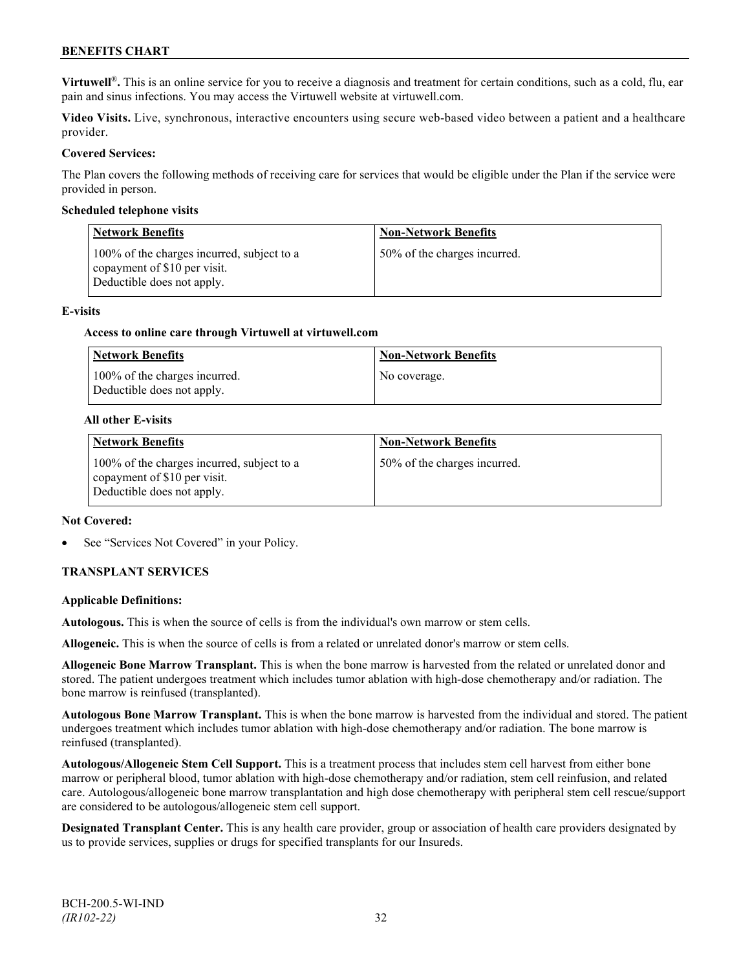**Virtuwell<sup>®</sup>**. This is an online service for you to receive a diagnosis and treatment for certain conditions, such as a cold, flu, ear pain and sinus infections. You may access the Virtuwell website at [virtuwell.com.](https://www.virtuwell.com/)

**Video Visits.** Live, synchronous, interactive encounters using secure web-based video between a patient and a healthcare provider.

### **Covered Services:**

The Plan covers the following methods of receiving care for services that would be eligible under the Plan if the service were provided in person.

#### **Scheduled telephone visits**

| <b>Network Benefits</b>                                                                                  | <b>Non-Network Benefits</b>  |
|----------------------------------------------------------------------------------------------------------|------------------------------|
| 100% of the charges incurred, subject to a<br>copayment of \$10 per visit.<br>Deductible does not apply. | 50% of the charges incurred. |

#### **E-visits**

#### **Access to online care through Virtuwell at [virtuwell.com](http://www.virtuwell.com/)**

| <b>Network Benefits</b>                                     | <b>Non-Network Benefits</b> |
|-------------------------------------------------------------|-----------------------------|
| 100% of the charges incurred.<br>Deductible does not apply. | No coverage.                |

#### **All other E-visits**

| <b>Network Benefits</b>                                                                                  | <b>Non-Network Benefits</b>  |
|----------------------------------------------------------------------------------------------------------|------------------------------|
| 100% of the charges incurred, subject to a<br>copayment of \$10 per visit.<br>Deductible does not apply. | 50% of the charges incurred. |

#### **Not Covered:**

See "Services Not Covered" in your Policy.

### **TRANSPLANT SERVICES**

#### **Applicable Definitions:**

**Autologous.** This is when the source of cells is from the individual's own marrow or stem cells.

**Allogeneic.** This is when the source of cells is from a related or unrelated donor's marrow or stem cells.

**Allogeneic Bone Marrow Transplant.** This is when the bone marrow is harvested from the related or unrelated donor and stored. The patient undergoes treatment which includes tumor ablation with high-dose chemotherapy and/or radiation. The bone marrow is reinfused (transplanted).

**Autologous Bone Marrow Transplant.** This is when the bone marrow is harvested from the individual and stored. The patient undergoes treatment which includes tumor ablation with high-dose chemotherapy and/or radiation. The bone marrow is reinfused (transplanted).

**Autologous/Allogeneic Stem Cell Support.** This is a treatment process that includes stem cell harvest from either bone marrow or peripheral blood, tumor ablation with high-dose chemotherapy and/or radiation, stem cell reinfusion, and related care. Autologous/allogeneic bone marrow transplantation and high dose chemotherapy with peripheral stem cell rescue/support are considered to be autologous/allogeneic stem cell support.

**Designated Transplant Center.** This is any health care provider, group or association of health care providers designated by us to provide services, supplies or drugs for specified transplants for our Insureds.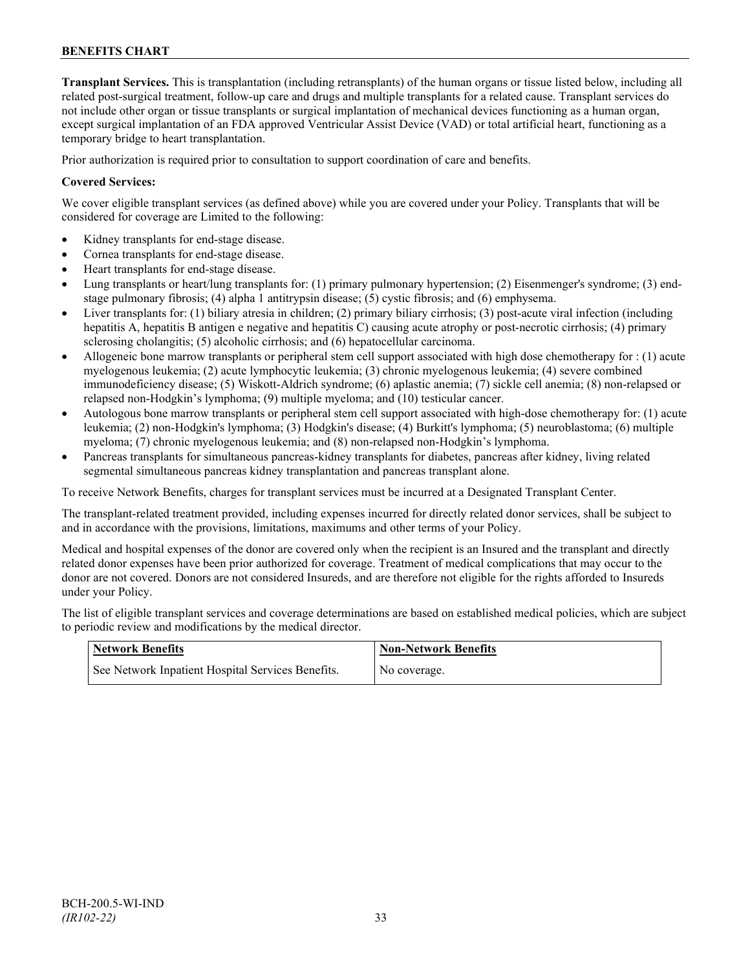**Transplant Services.** This is transplantation (including retransplants) of the human organs or tissue listed below, including all related post-surgical treatment, follow-up care and drugs and multiple transplants for a related cause. Transplant services do not include other organ or tissue transplants or surgical implantation of mechanical devices functioning as a human organ, except surgical implantation of an FDA approved Ventricular Assist Device (VAD) or total artificial heart, functioning as a temporary bridge to heart transplantation.

Prior authorization is required prior to consultation to support coordination of care and benefits.

### **Covered Services:**

We cover eligible transplant services (as defined above) while you are covered under your Policy. Transplants that will be considered for coverage are Limited to the following:

- Kidney transplants for end-stage disease.
- Cornea transplants for end-stage disease.
- Heart transplants for end-stage disease.
- Lung transplants or heart/lung transplants for: (1) primary pulmonary hypertension; (2) Eisenmenger's syndrome; (3) endstage pulmonary fibrosis; (4) alpha 1 antitrypsin disease; (5) cystic fibrosis; and (6) emphysema.
- Liver transplants for: (1) biliary atresia in children; (2) primary biliary cirrhosis; (3) post-acute viral infection (including hepatitis A, hepatitis B antigen e negative and hepatitis C) causing acute atrophy or post-necrotic cirrhosis; (4) primary sclerosing cholangitis; (5) alcoholic cirrhosis; and (6) hepatocellular carcinoma.
- Allogeneic bone marrow transplants or peripheral stem cell support associated with high dose chemotherapy for : (1) acute myelogenous leukemia; (2) acute lymphocytic leukemia; (3) chronic myelogenous leukemia; (4) severe combined immunodeficiency disease; (5) Wiskott-Aldrich syndrome; (6) aplastic anemia; (7) sickle cell anemia; (8) non-relapsed or relapsed non-Hodgkin's lymphoma; (9) multiple myeloma; and (10) testicular cancer.
- Autologous bone marrow transplants or peripheral stem cell support associated with high-dose chemotherapy for: (1) acute leukemia; (2) non-Hodgkin's lymphoma; (3) Hodgkin's disease; (4) Burkitt's lymphoma; (5) neuroblastoma; (6) multiple myeloma; (7) chronic myelogenous leukemia; and (8) non-relapsed non-Hodgkin's lymphoma.
- Pancreas transplants for simultaneous pancreas-kidney transplants for diabetes, pancreas after kidney, living related segmental simultaneous pancreas kidney transplantation and pancreas transplant alone.

To receive Network Benefits, charges for transplant services must be incurred at a Designated Transplant Center.

The transplant-related treatment provided, including expenses incurred for directly related donor services, shall be subject to and in accordance with the provisions, limitations, maximums and other terms of your Policy.

Medical and hospital expenses of the donor are covered only when the recipient is an Insured and the transplant and directly related donor expenses have been prior authorized for coverage. Treatment of medical complications that may occur to the donor are not covered. Donors are not considered Insureds, and are therefore not eligible for the rights afforded to Insureds under your Policy.

The list of eligible transplant services and coverage determinations are based on established medical policies, which are subject to periodic review and modifications by the medical director.

| <b>Network Benefits</b>                           | Mon-Network Benefits |
|---------------------------------------------------|----------------------|
| See Network Inpatient Hospital Services Benefits. | No coverage.         |